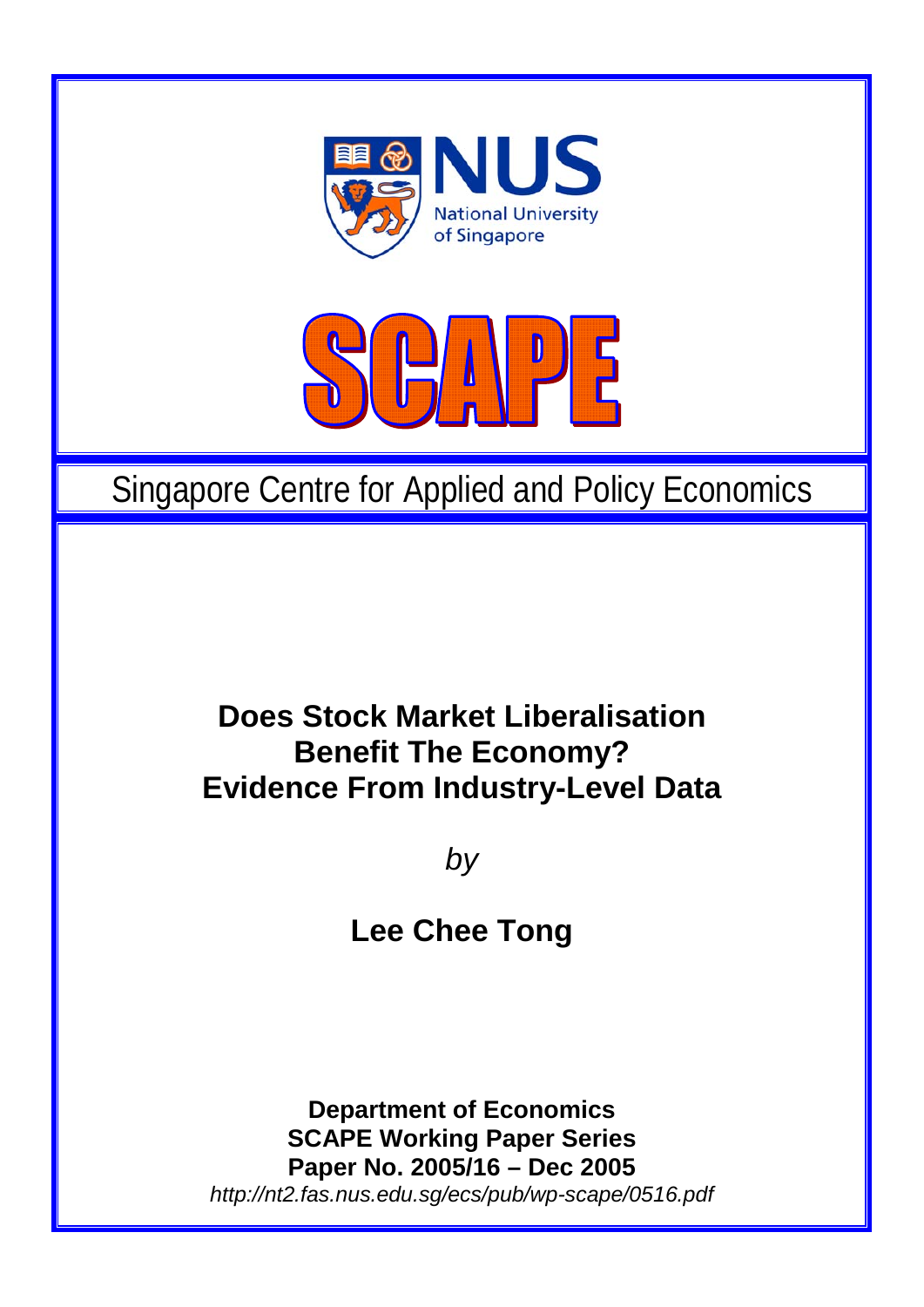



# Singapore Centre for Applied and Policy Economics

## **Does Stock Market Liberalisation Benefit The Economy? Evidence From Industry-Level Data**

*by* 

### **Lee Chee Tong**

**Department of Economics SCAPE Working Paper Series Paper No. 2005/16 – Dec 2005**  *http://nt2.fas.nus.edu.sg/ecs/pub/wp-scape/0516.pdf*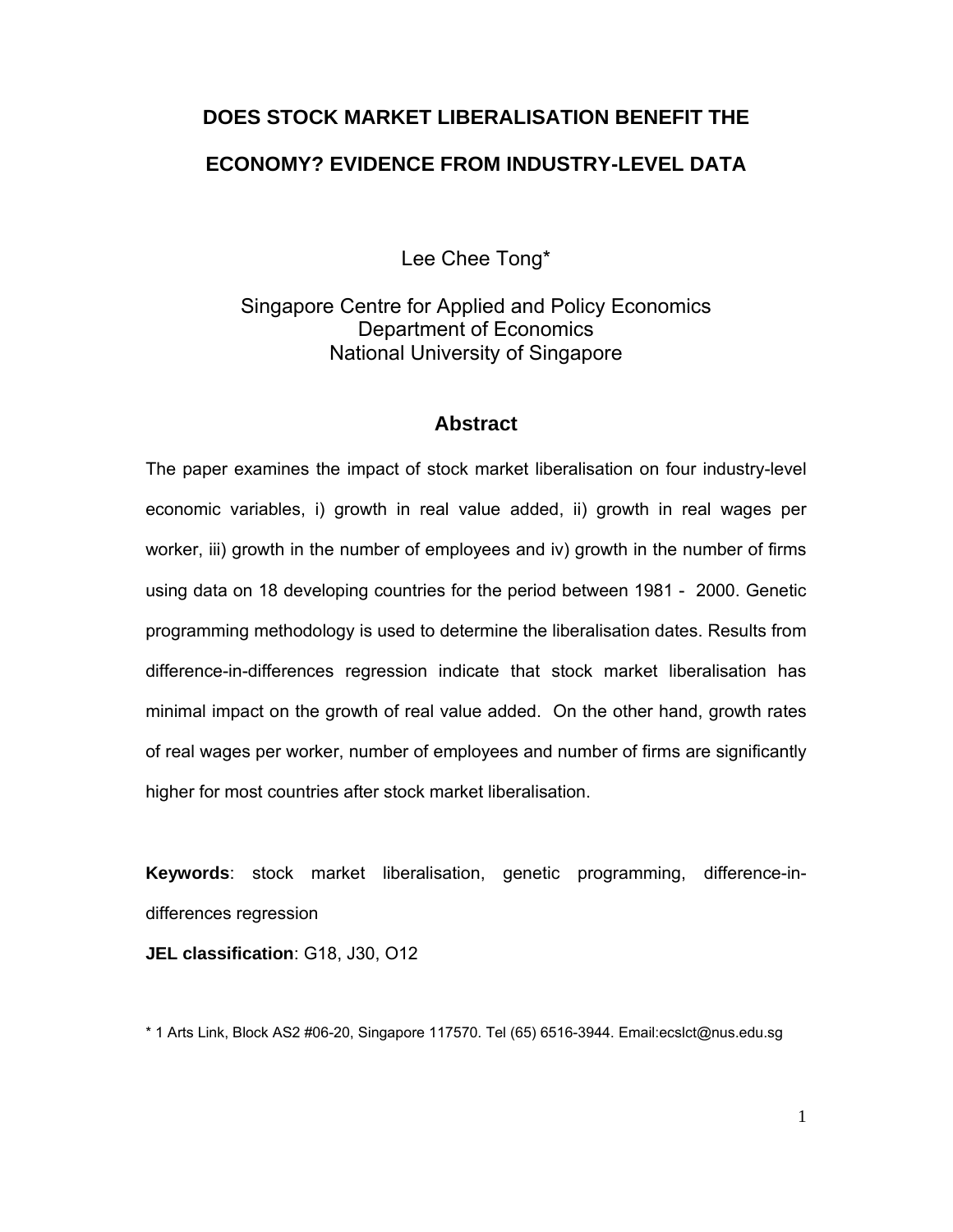### **DOES STOCK MARKET LIBERALISATION BENEFIT THE ECONOMY? EVIDENCE FROM INDUSTRY-LEVEL DATA**

Lee Chee Tong\*

Singapore Centre for Applied and Policy Economics Department of Economics National University of Singapore

#### **Abstract**

The paper examines the impact of stock market liberalisation on four industry-level economic variables, i) growth in real value added, ii) growth in real wages per worker, iii) growth in the number of employees and iv) growth in the number of firms using data on 18 developing countries for the period between 1981 - 2000. Genetic programming methodology is used to determine the liberalisation dates. Results from difference-in-differences regression indicate that stock market liberalisation has minimal impact on the growth of real value added. On the other hand, growth rates of real wages per worker, number of employees and number of firms are significantly higher for most countries after stock market liberalisation.

**Keywords**: stock market liberalisation, genetic programming, difference-indifferences regression

**JEL classification**: G18, J30, O12

\* 1 Arts Link, Block AS2 #06-20, Singapore 117570. Tel (65) 6516-3944. Email:ecslct@nus.edu.sg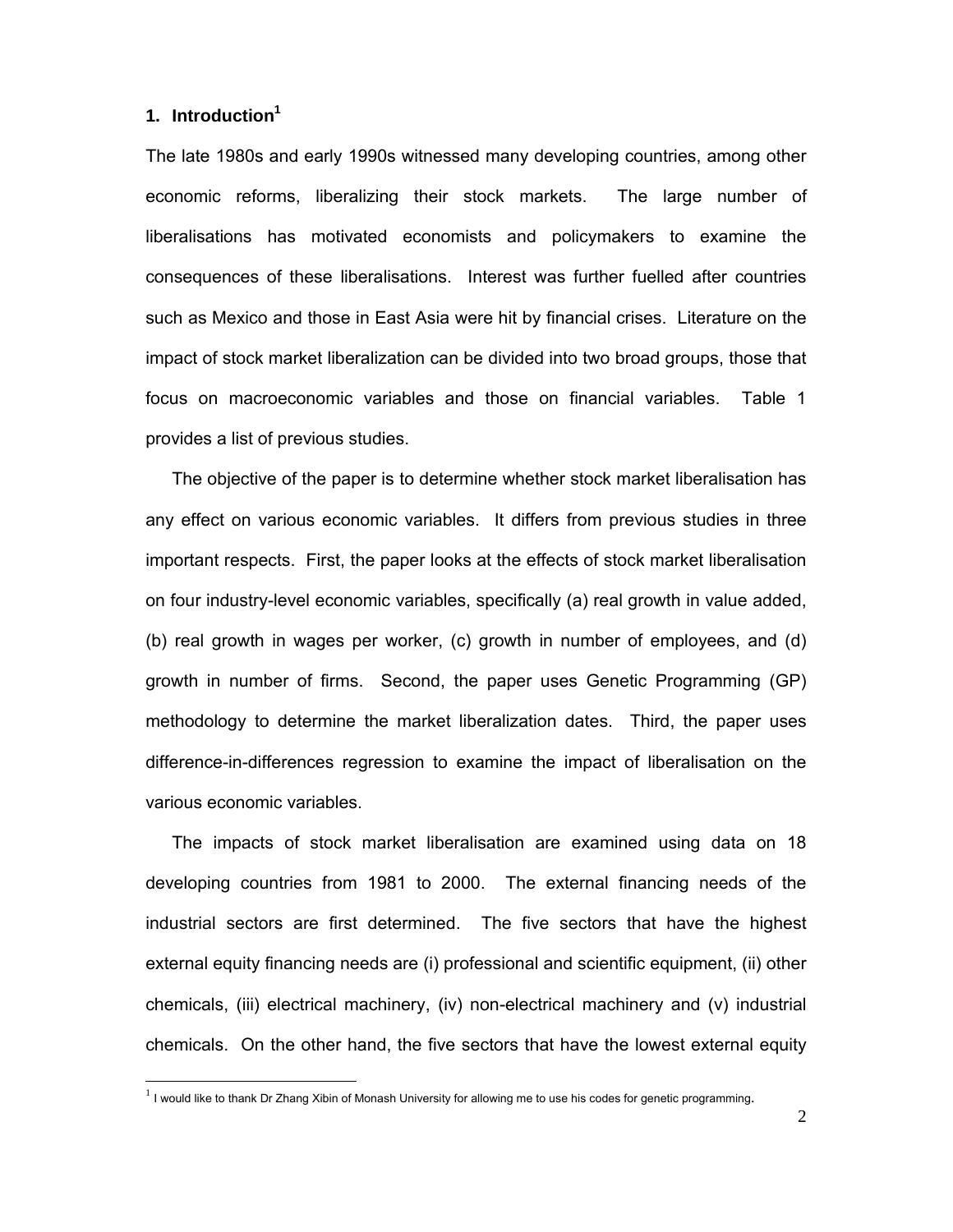#### **1. Introduction1**

 $\overline{a}$ 

The late 1980s and early 1990s witnessed many developing countries, among other economic reforms, liberalizing their stock markets. The large number of liberalisations has motivated economists and policymakers to examine the consequences of these liberalisations. Interest was further fuelled after countries such as Mexico and those in East Asia were hit by financial crises. Literature on the impact of stock market liberalization can be divided into two broad groups, those that focus on macroeconomic variables and those on financial variables. Table 1 provides a list of previous studies.

The objective of the paper is to determine whether stock market liberalisation has any effect on various economic variables. It differs from previous studies in three important respects. First, the paper looks at the effects of stock market liberalisation on four industry-level economic variables, specifically (a) real growth in value added, (b) real growth in wages per worker, (c) growth in number of employees, and (d) growth in number of firms. Second, the paper uses Genetic Programming (GP) methodology to determine the market liberalization dates. Third, the paper uses difference-in-differences regression to examine the impact of liberalisation on the various economic variables.

The impacts of stock market liberalisation are examined using data on 18 developing countries from 1981 to 2000. The external financing needs of the industrial sectors are first determined. The five sectors that have the highest external equity financing needs are (i) professional and scientific equipment, (ii) other chemicals, (iii) electrical machinery, (iv) non-electrical machinery and (v) industrial chemicals. On the other hand, the five sectors that have the lowest external equity

 $<sup>1</sup>$  I would like to thank Dr Zhang Xibin of Monash University for allowing me to use his codes for genetic programming.</sup>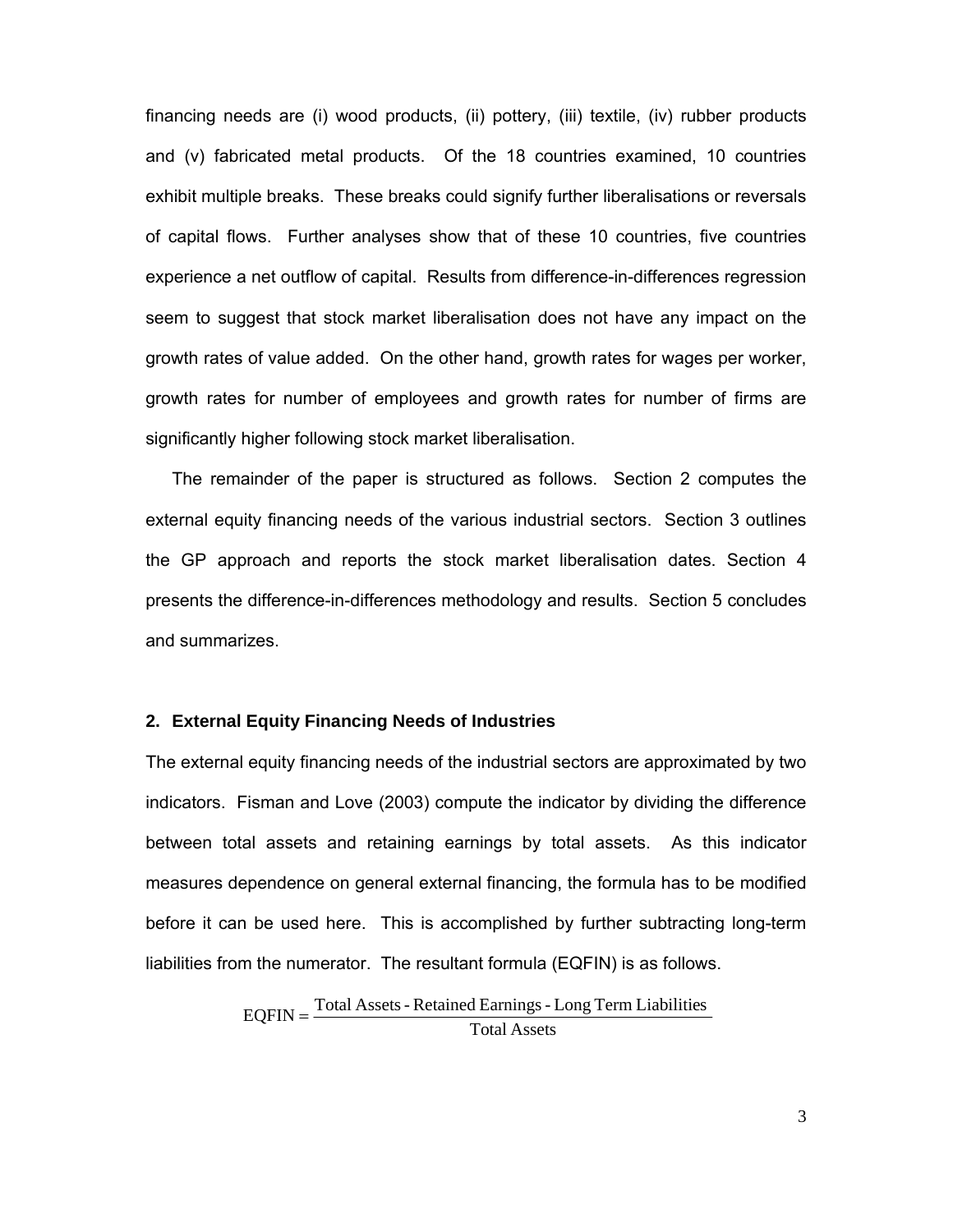financing needs are (i) wood products, (ii) pottery, (iii) textile, (iv) rubber products and (v) fabricated metal products. Of the 18 countries examined, 10 countries exhibit multiple breaks. These breaks could signify further liberalisations or reversals of capital flows. Further analyses show that of these 10 countries, five countries experience a net outflow of capital. Results from difference-in-differences regression seem to suggest that stock market liberalisation does not have any impact on the growth rates of value added. On the other hand, growth rates for wages per worker, growth rates for number of employees and growth rates for number of firms are significantly higher following stock market liberalisation.

The remainder of the paper is structured as follows. Section 2 computes the external equity financing needs of the various industrial sectors. Section 3 outlines the GP approach and reports the stock market liberalisation dates. Section 4 presents the difference-in-differences methodology and results. Section 5 concludes and summarizes.

#### **2. External Equity Financing Needs of Industries**

The external equity financing needs of the industrial sectors are approximated by two indicators. Fisman and Love (2003) compute the indicator by dividing the difference between total assets and retaining earnings by total assets. As this indicator measures dependence on general external financing, the formula has to be modified before it can be used here. This is accomplished by further subtracting long-term liabilities from the numerator. The resultant formula (EQFIN) is as follows.

> Total Assets Total Assets- Retained Earnings- Long Term Liabilities EQFIN <sup>=</sup>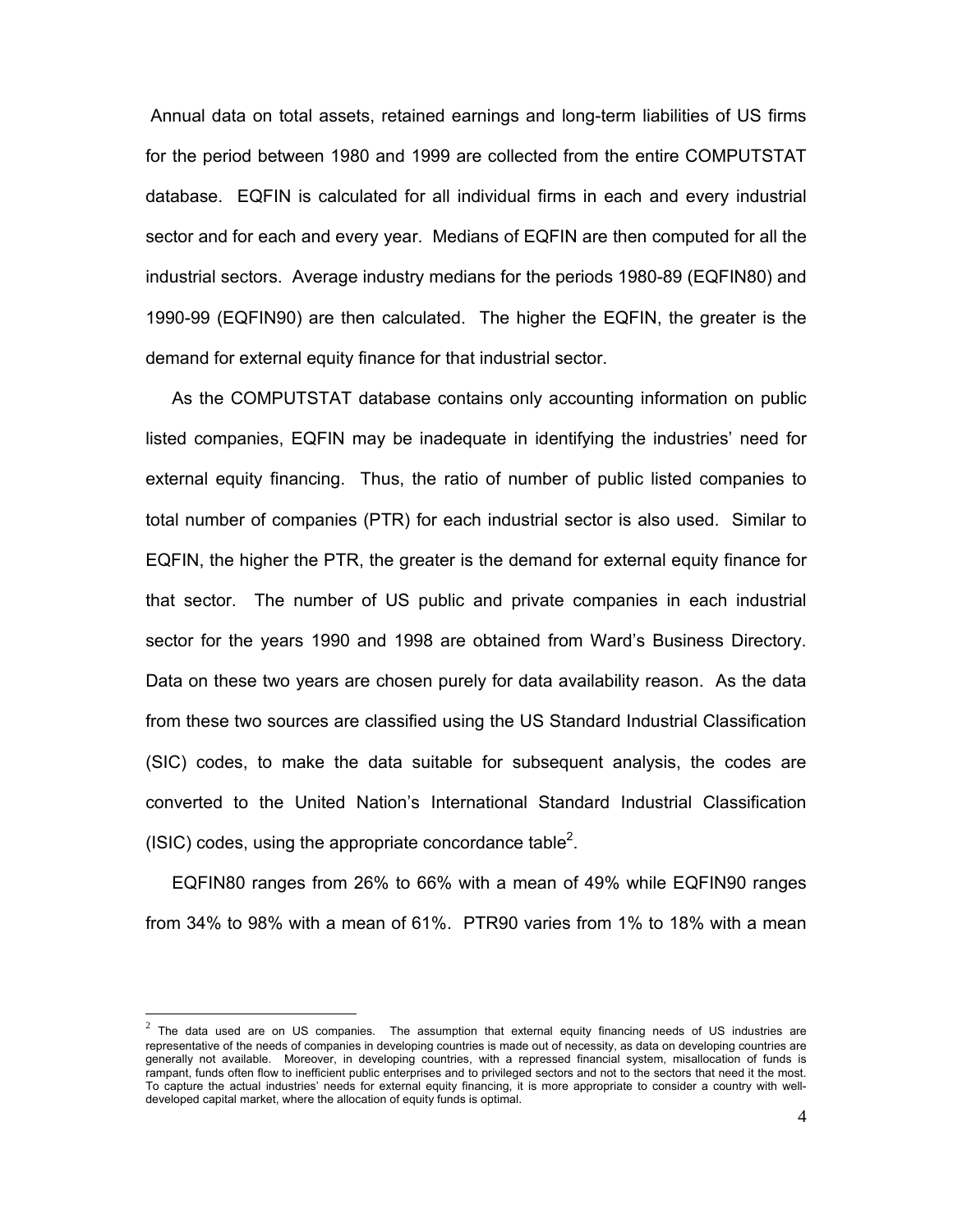Annual data on total assets, retained earnings and long-term liabilities of US firms for the period between 1980 and 1999 are collected from the entire COMPUTSTAT database. EQFIN is calculated for all individual firms in each and every industrial sector and for each and every year. Medians of EQFIN are then computed for all the industrial sectors. Average industry medians for the periods 1980-89 (EQFIN80) and 1990-99 (EQFIN90) are then calculated. The higher the EQFIN, the greater is the demand for external equity finance for that industrial sector.

 As the COMPUTSTAT database contains only accounting information on public listed companies, EQFIN may be inadequate in identifying the industries' need for external equity financing. Thus, the ratio of number of public listed companies to total number of companies (PTR) for each industrial sector is also used. Similar to EQFIN, the higher the PTR, the greater is the demand for external equity finance for that sector. The number of US public and private companies in each industrial sector for the years 1990 and 1998 are obtained from Ward's Business Directory. Data on these two years are chosen purely for data availability reason. As the data from these two sources are classified using the US Standard Industrial Classification (SIC) codes, to make the data suitable for subsequent analysis, the codes are converted to the United Nation's International Standard Industrial Classification (ISIC) codes, using the appropriate concordance table<sup>2</sup>.

 EQFIN80 ranges from 26% to 66% with a mean of 49% while EQFIN90 ranges from 34% to 98% with a mean of 61%. PTR90 varies from 1% to 18% with a mean

 $\overline{a}$ 

The data used are on US companies. The assumption that external equity financing needs of US industries are representative of the needs of companies in developing countries is made out of necessity, as data on developing countries are generally not available. Moreover, in developing countries, with a repressed financial system, misallocation of funds is rampant, funds often flow to inefficient public enterprises and to privileged sectors and not to the sectors that need it the most. To capture the actual industries' needs for external equity financing, it is more appropriate to consider a country with welldeveloped capital market, where the allocation of equity funds is optimal.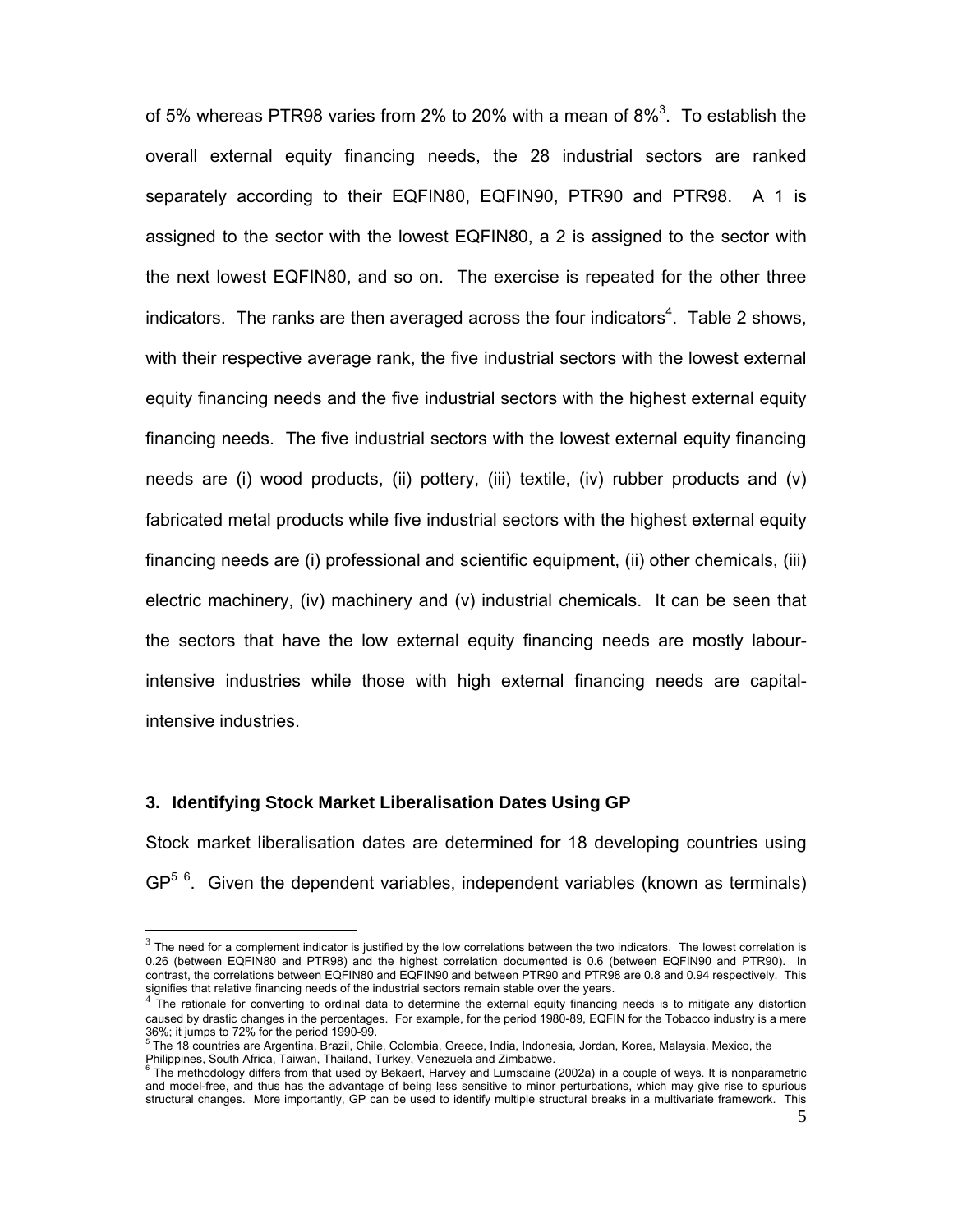of 5% whereas PTR98 varies from 2% to 20% with a mean of 8%<sup>3</sup>. To establish the overall external equity financing needs, the 28 industrial sectors are ranked separately according to their EQFIN80, EQFIN90, PTR90 and PTR98. A 1 is assigned to the sector with the lowest EQFIN80, a 2 is assigned to the sector with the next lowest EQFIN80, and so on. The exercise is repeated for the other three indicators. The ranks are then averaged across the four indicators<sup>4</sup>. Table 2 shows, with their respective average rank, the five industrial sectors with the lowest external equity financing needs and the five industrial sectors with the highest external equity financing needs. The five industrial sectors with the lowest external equity financing needs are (i) wood products, (ii) pottery, (iii) textile, (iv) rubber products and (v) fabricated metal products while five industrial sectors with the highest external equity financing needs are (i) professional and scientific equipment, (ii) other chemicals, (iii) electric machinery, (iv) machinery and (v) industrial chemicals. It can be seen that the sectors that have the low external equity financing needs are mostly labourintensive industries while those with high external financing needs are capitalintensive industries.

#### **3. Identifying Stock Market Liberalisation Dates Using GP**

 $\overline{a}$ 

Stock market liberalisation dates are determined for 18 developing countries using  $GP<sup>56</sup>$ . Given the dependent variables, independent variables (known as terminals)

 $3$  The need for a complement indicator is justified by the low correlations between the two indicators. The lowest correlation is 0.26 (between EQFIN80 and PTR98) and the highest correlation documented is 0.6 (between EQFIN90 and PTR90). In contrast, the correlations between EQFIN80 and EQFIN90 and between PTR90 and PTR98 are 0.8 and 0.94 respectively. This signifies that relative financing needs of the industrial sectors remain stable over the years.<br><sup>4</sup> The refixed is the industrial sectors remain stable over the years.

The rationale for converting to ordinal data to determine the external equity financing needs is to mitigate any distortion caused by drastic changes in the percentages. For example, for the period 1980-89, EQFIN for the Tobacco industry is a mere 36%; it jumps to 72% for the period 1990-99.

<sup>&</sup>lt;sup>5</sup> The 18 countries are Argentina, Brazil, Chile, Colombia, Greece, India, Indonesia, Jordan, Korea, Malaysia, Mexico, the

Philippines, South Africa, Taiwan, Thailand, Turkey, Venezuela and Zimbabwe.<br><sup>6</sup> The methodology differs from that used by Bekaert, Harvey and Lumsdaine (2002a) in a couple of ways. It is nonparametric and model-free, and thus has the advantage of being less sensitive to minor perturbations, which may give rise to spurious structural changes. More importantly, GP can be used to identify multiple structural breaks in a multivariate framework. This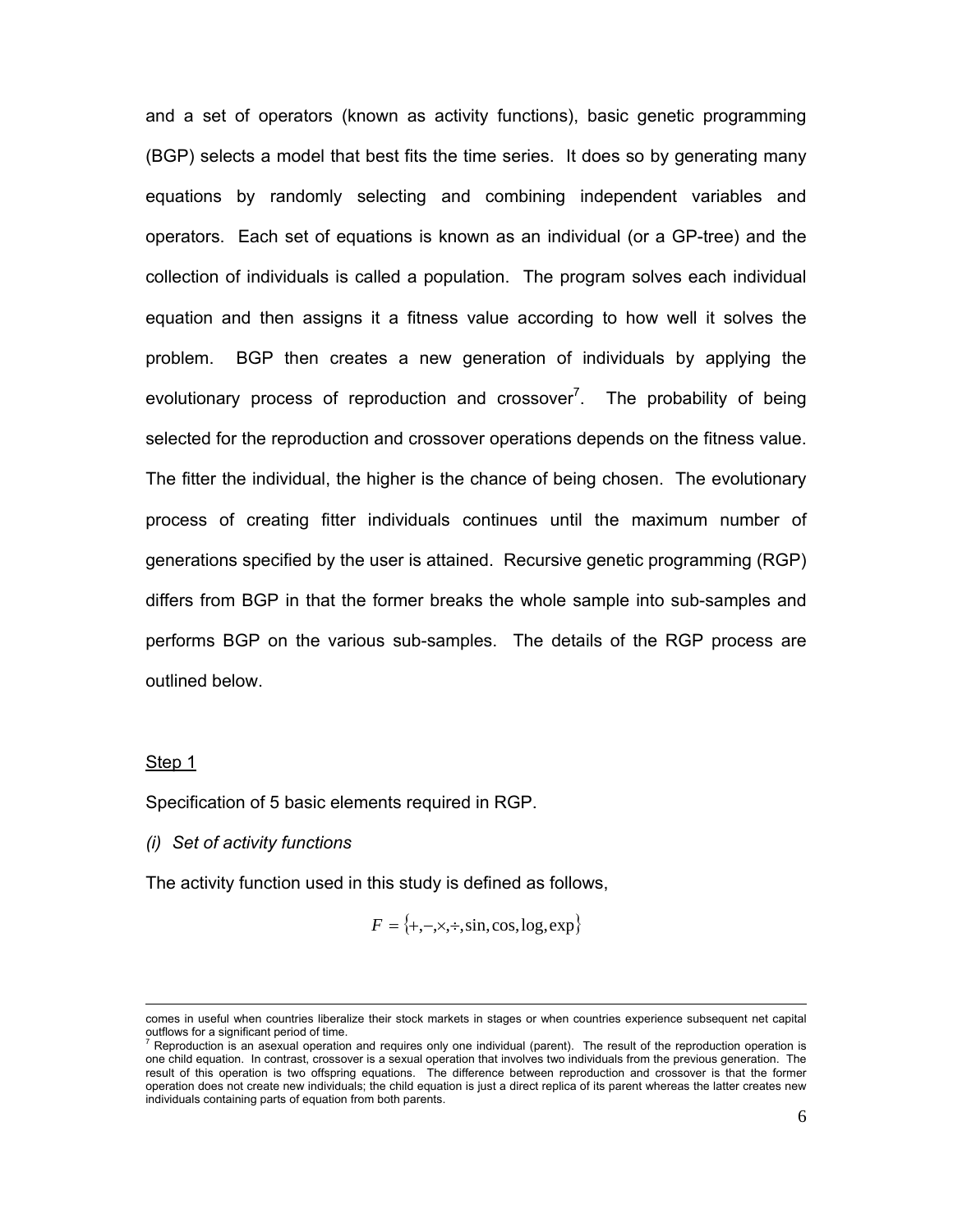and a set of operators (known as activity functions), basic genetic programming (BGP) selects a model that best fits the time series. It does so by generating many equations by randomly selecting and combining independent variables and operators. Each set of equations is known as an individual (or a GP-tree) and the collection of individuals is called a population. The program solves each individual equation and then assigns it a fitness value according to how well it solves the problem. BGP then creates a new generation of individuals by applying the evolutionary process of reproduction and crossover<sup>7</sup>. The probability of being selected for the reproduction and crossover operations depends on the fitness value. The fitter the individual, the higher is the chance of being chosen. The evolutionary process of creating fitter individuals continues until the maximum number of generations specified by the user is attained. Recursive genetic programming (RGP) differs from BGP in that the former breaks the whole sample into sub-samples and performs BGP on the various sub-samples. The details of the RGP process are outlined below.

#### Step 1

Specification of 5 basic elements required in RGP.

#### *(i) Set of activity functions*

The activity function used in this study is defined as follows,

$$
F = \{+,-,\times,\div,\sin,\cos,\log,\exp\}
$$

comes in useful when countries liberalize their stock markets in stages or when countries experience subsequent net capital outflows for a significant period of time.

<sup>7</sup> Reproduction is an asexual operation and requires only one individual (parent). The result of the reproduction operation is one child equation. In contrast, crossover is a sexual operation that involves two individuals from the previous generation. The result of this operation is two offspring equations. The difference between reproduction and crossover is that the former operation does not create new individuals; the child equation is just a direct replica of its parent whereas the latter creates new individuals containing parts of equation from both parents.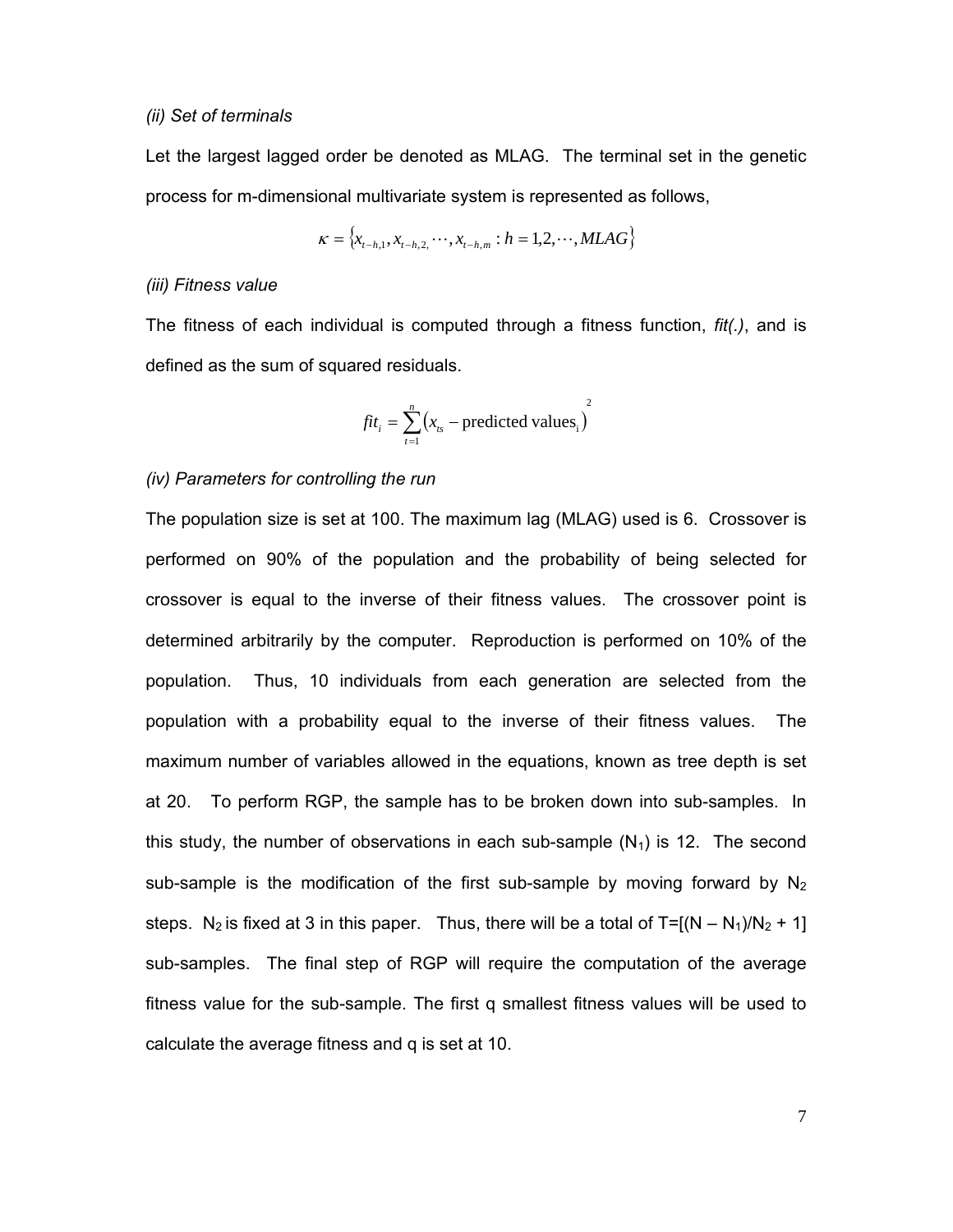#### *(ii) Set of terminals*

Let the largest lagged order be denoted as MLAG. The terminal set in the genetic process for m-dimensional multivariate system is represented as follows,

$$
\kappa = \{x_{t-h,1}, x_{t-h,2}, \cdots, x_{t-h,m} : h = 1, 2, \cdots, MLAG\}
$$

#### *(iii) Fitness value*

The fitness of each individual is computed through a fitness function, *fit(.)*, and is defined as the sum of squared residuals.

$$
fit_i = \sum_{t=1}^{n} (x_{ts} - predicted \, values_i)^2
$$

#### *(iv) Parameters for controlling the run*

The population size is set at 100. The maximum lag (MLAG) used is 6. Crossover is performed on 90% of the population and the probability of being selected for crossover is equal to the inverse of their fitness values. The crossover point is determined arbitrarily by the computer. Reproduction is performed on 10% of the population. Thus, 10 individuals from each generation are selected from the population with a probability equal to the inverse of their fitness values. The maximum number of variables allowed in the equations, known as tree depth is set at 20. To perform RGP, the sample has to be broken down into sub-samples. In this study, the number of observations in each sub-sample  $(N_1)$  is 12. The second sub-sample is the modification of the first sub-sample by moving forward by  $N_2$ steps. N<sub>2</sub> is fixed at 3 in this paper. Thus, there will be a total of  $T=[(N - N_1)/N_2 + 1]$ sub-samples. The final step of RGP will require the computation of the average fitness value for the sub-sample. The first q smallest fitness values will be used to calculate the average fitness and q is set at 10.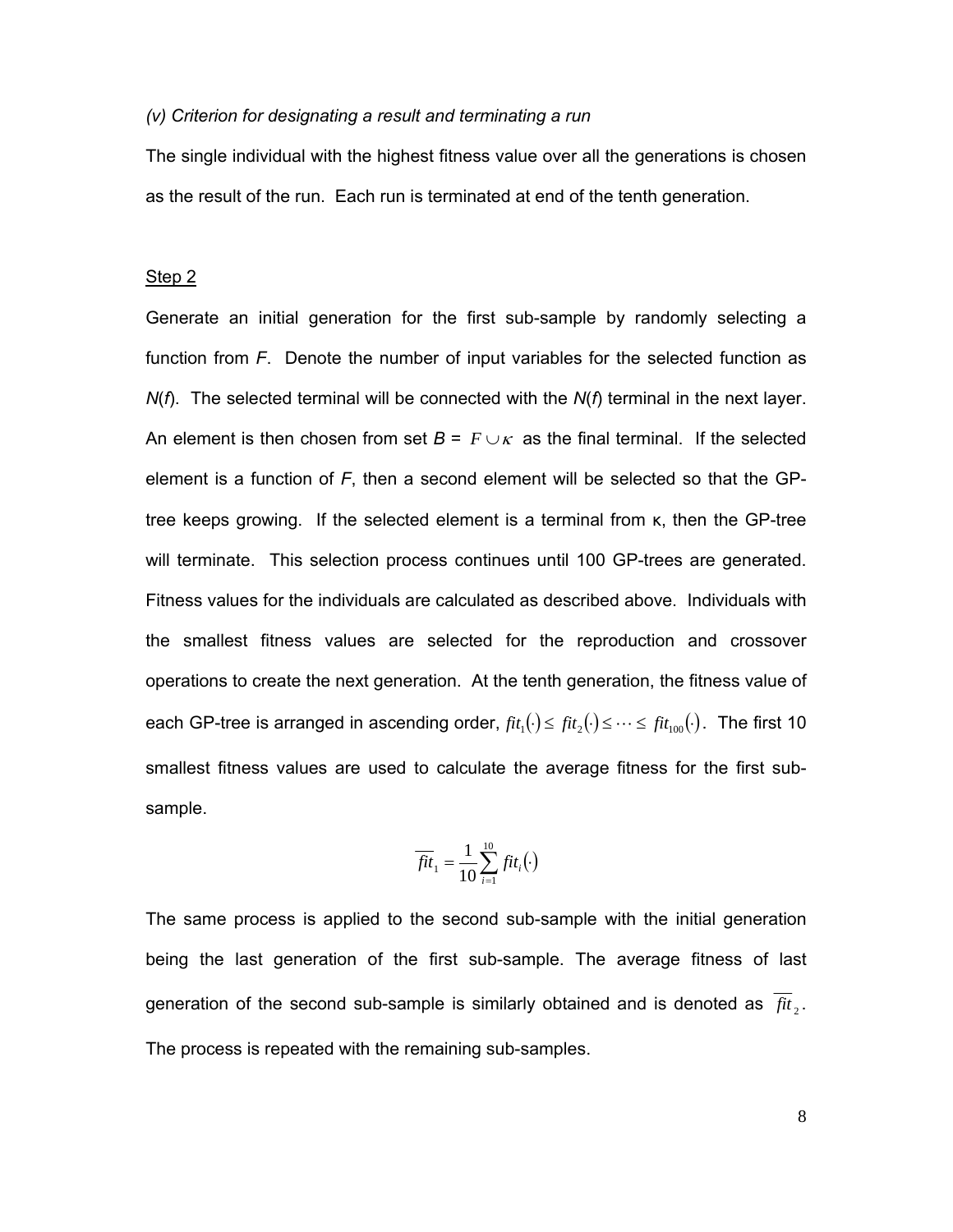#### *(v) Criterion for designating a result and terminating a run*

The single individual with the highest fitness value over all the generations is chosen as the result of the run. Each run is terminated at end of the tenth generation.

#### Step 2

Generate an initial generation for the first sub-sample by randomly selecting a function from *F*. Denote the number of input variables for the selected function as *N*(*f*). The selected terminal will be connected with the *N*(*f*) terminal in the next layer. An element is then chosen from set  $B = F \cup K$  as the final terminal. If the selected element is a function of *F*, then a second element will be selected so that the GPtree keeps growing. If the selected element is a terminal from κ, then the GP-tree will terminate. This selection process continues until 100 GP-trees are generated. Fitness values for the individuals are calculated as described above. Individuals with the smallest fitness values are selected for the reproduction and crossover operations to create the next generation. At the tenth generation, the fitness value of each GP-tree is arranged in ascending order,  $fit_1(\cdot) \leq fit_2(\cdot) \leq \cdots \leq fit_{100}(\cdot)$ . The first 10 smallest fitness values are used to calculate the average fitness for the first subsample.

$$
\overline{fit}_1 = \frac{1}{10} \sum_{i=1}^{10} fit_i(\cdot)
$$

The same process is applied to the second sub-sample with the initial generation being the last generation of the first sub-sample. The average fitness of last generation of the second sub-sample is similarly obtained and is denoted as  $\overline{fit}_2$ . The process is repeated with the remaining sub-samples.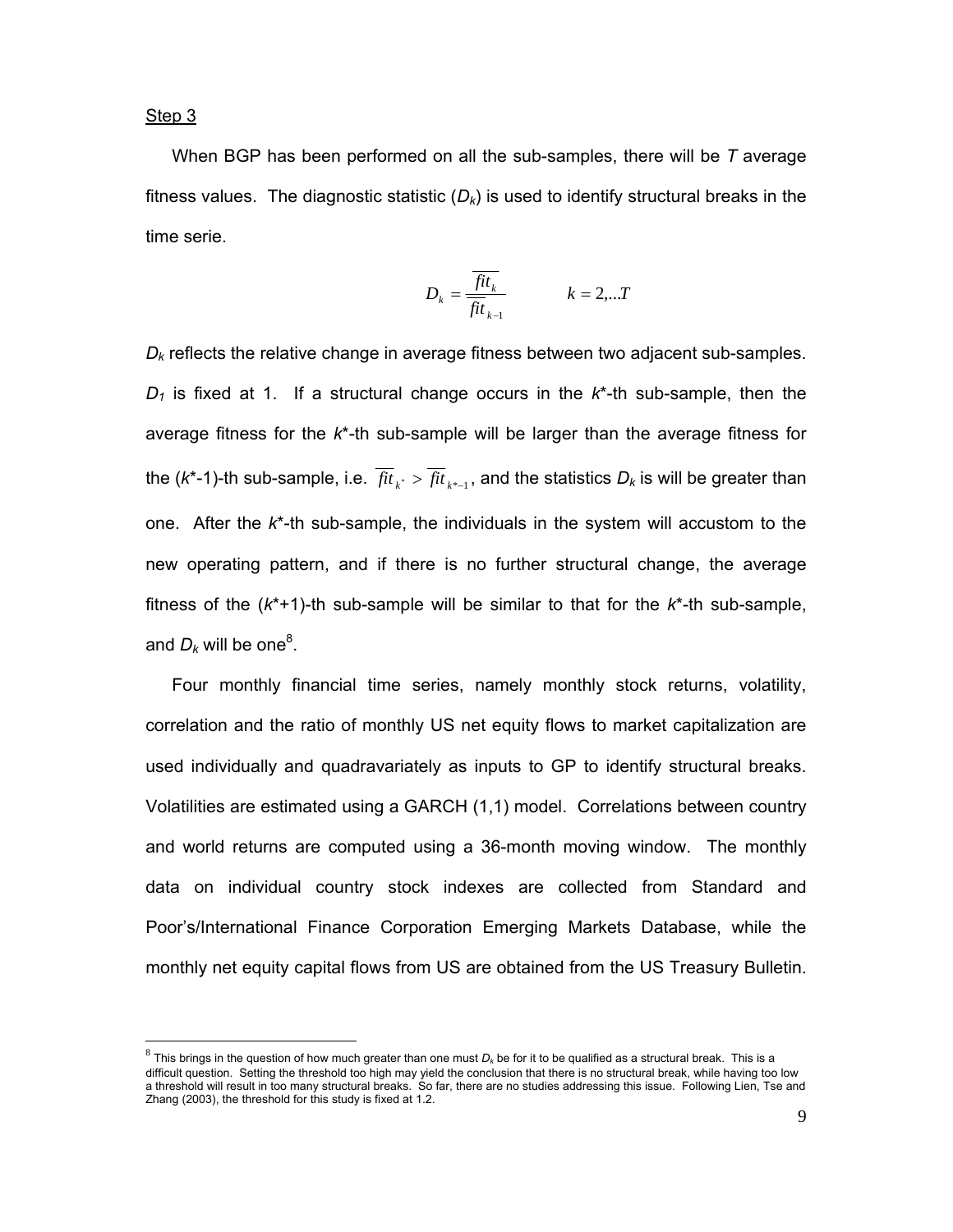#### Step 3

 $\overline{a}$ 

When BGP has been performed on all the sub-samples, there will be *T* average fitness values. The diagnostic statistic  $(D_k)$  is used to identify structural breaks in the time serie.

$$
D_k = \frac{\overline{fit}_k}{\overline{fit}_{k-1}} \qquad k = 2,...T
$$

*Dk* reflects the relative change in average fitness between two adjacent sub-samples. *D1* is fixed at 1. If a structural change occurs in the *k*\*-th sub-sample, then the average fitness for the *k*\*-th sub-sample will be larger than the average fitness for the ( $k^*$ -1)-th sub-sample, i.e.  $\overline{fit}_{k^*} > \overline{fit}_{k^*-1}$ , and the statistics  $D_k$  is will be greater than one. After the *k*\*-th sub-sample, the individuals in the system will accustom to the new operating pattern, and if there is no further structural change, the average fitness of the  $(k^*+1)$ -th sub-sample will be similar to that for the  $k^*$ -th sub-sample, and  $D_k$  will be one<sup>8</sup>.

Four monthly financial time series, namely monthly stock returns, volatility, correlation and the ratio of monthly US net equity flows to market capitalization are used individually and quadravariately as inputs to GP to identify structural breaks. Volatilities are estimated using a GARCH (1,1) model. Correlations between country and world returns are computed using a 36-month moving window. The monthly data on individual country stock indexes are collected from Standard and Poor's/International Finance Corporation Emerging Markets Database, while the monthly net equity capital flows from US are obtained from the US Treasury Bulletin.

 $^8$  This brings in the question of how much greater than one must  $D_k$  be for it to be qualified as a structural break. This is a difficult question. Setting the threshold too high may yield the conclusion that there is no structural break, while having too low a threshold will result in too many structural breaks. So far, there are no studies addressing this issue. Following Lien, Tse and Zhang (2003), the threshold for this study is fixed at 1.2.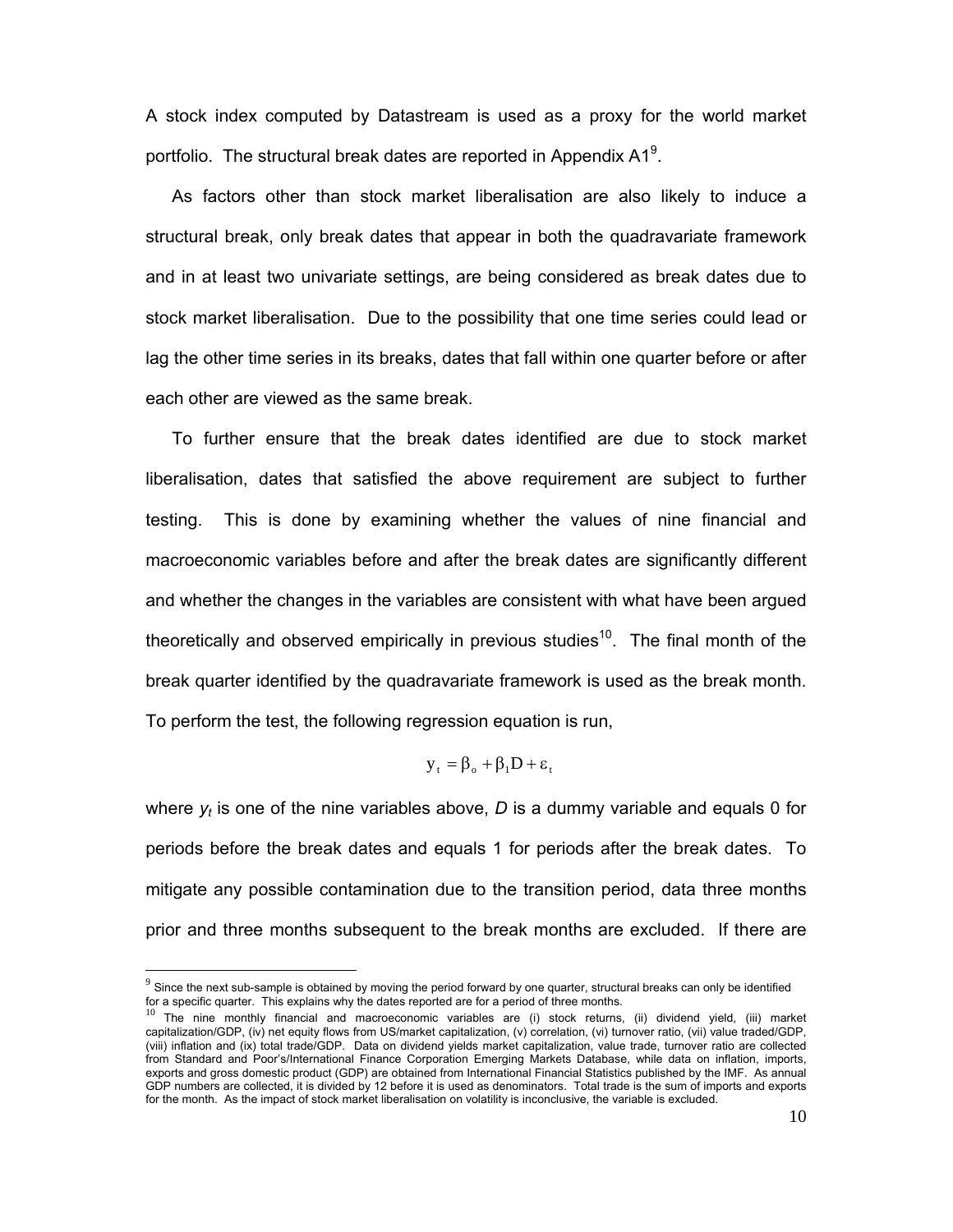A stock index computed by Datastream is used as a proxy for the world market portfolio. The structural break dates are reported in Appendix A1<sup>9</sup>.

As factors other than stock market liberalisation are also likely to induce a structural break, only break dates that appear in both the quadravariate framework and in at least two univariate settings, are being considered as break dates due to stock market liberalisation. Due to the possibility that one time series could lead or lag the other time series in its breaks, dates that fall within one quarter before or after each other are viewed as the same break.

To further ensure that the break dates identified are due to stock market liberalisation, dates that satisfied the above requirement are subject to further testing. This is done by examining whether the values of nine financial and macroeconomic variables before and after the break dates are significantly different and whether the changes in the variables are consistent with what have been argued theoretically and observed empirically in previous studies<sup>10</sup>. The final month of the break quarter identified by the quadravariate framework is used as the break month. To perform the test, the following regression equation is run,

$$
y_t = \beta_o + \beta_1 D + \epsilon_t
$$

where *yt* is one of the nine variables above, *D* is a dummy variable and equals 0 for periods before the break dates and equals 1 for periods after the break dates. To mitigate any possible contamination due to the transition period, data three months prior and three months subsequent to the break months are excluded. If there are

 $\overline{a}$ 

 $^9$  Since the next sub-sample is obtained by moving the period forward by one quarter, structural breaks can only be identified for a specific quarter. This explains why the dates reported are for a period of three months.

 $10$  The nine monthly financial and macroeconomic variables are (i) stock returns, (ii) dividend yield, (iii) market capitalization/GDP, (iv) net equity flows from US/market capitalization, (v) correlation, (vi) turnover ratio, (vii) value traded/GDP, (viii) inflation and (ix) total trade/GDP. Data on dividend yields market capitalization, value trade, turnover ratio are collected from Standard and Poor's/International Finance Corporation Emerging Markets Database, while data on inflation, imports, exports and gross domestic product (GDP) are obtained from International Financial Statistics published by the IMF. As annual GDP numbers are collected, it is divided by 12 before it is used as denominators. Total trade is the sum of imports and exports for the month. As the impact of stock market liberalisation on volatility is inconclusive, the variable is excluded.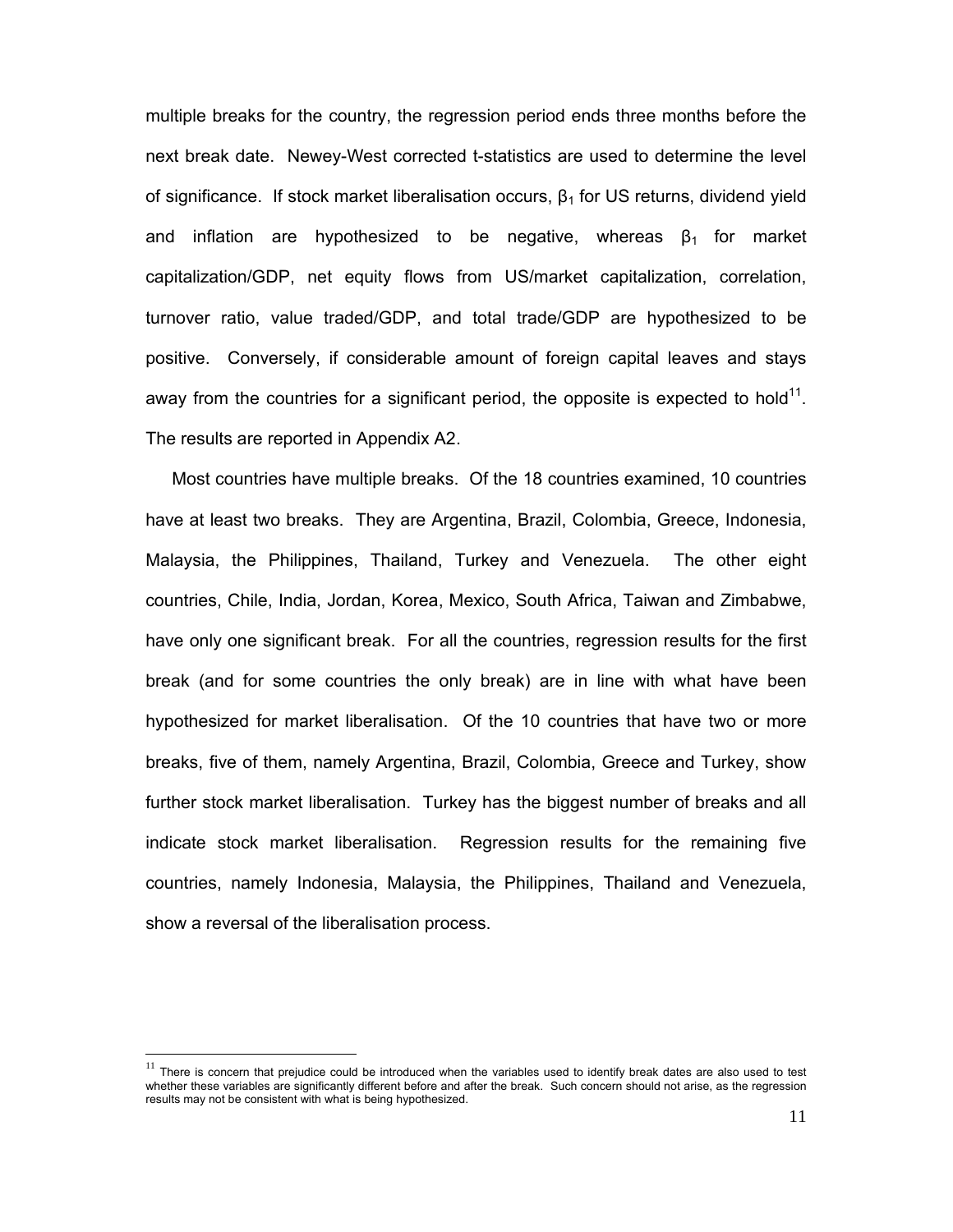multiple breaks for the country, the regression period ends three months before the next break date. Newey-West corrected t-statistics are used to determine the level of significance. If stock market liberalisation occurs,  $β_1$  for US returns, dividend yield and inflation are hypothesized to be negative, whereas  $\beta_1$  for market capitalization/GDP, net equity flows from US/market capitalization, correlation, turnover ratio, value traded/GDP, and total trade/GDP are hypothesized to be positive. Conversely, if considerable amount of foreign capital leaves and stays away from the countries for a significant period, the opposite is expected to hold<sup>11</sup>. The results are reported in Appendix A2.

Most countries have multiple breaks. Of the 18 countries examined, 10 countries have at least two breaks. They are Argentina, Brazil, Colombia, Greece, Indonesia, Malaysia, the Philippines, Thailand, Turkey and Venezuela. The other eight countries, Chile, India, Jordan, Korea, Mexico, South Africa, Taiwan and Zimbabwe, have only one significant break. For all the countries, regression results for the first break (and for some countries the only break) are in line with what have been hypothesized for market liberalisation. Of the 10 countries that have two or more breaks, five of them, namely Argentina, Brazil, Colombia, Greece and Turkey, show further stock market liberalisation. Turkey has the biggest number of breaks and all indicate stock market liberalisation. Regression results for the remaining five countries, namely Indonesia, Malaysia, the Philippines, Thailand and Venezuela, show a reversal of the liberalisation process.

 $\overline{a}$ 

 $11$  There is concern that prejudice could be introduced when the variables used to identify break dates are also used to test whether these variables are significantly different before and after the break. Such concern should not arise, as the regression results may not be consistent with what is being hypothesized.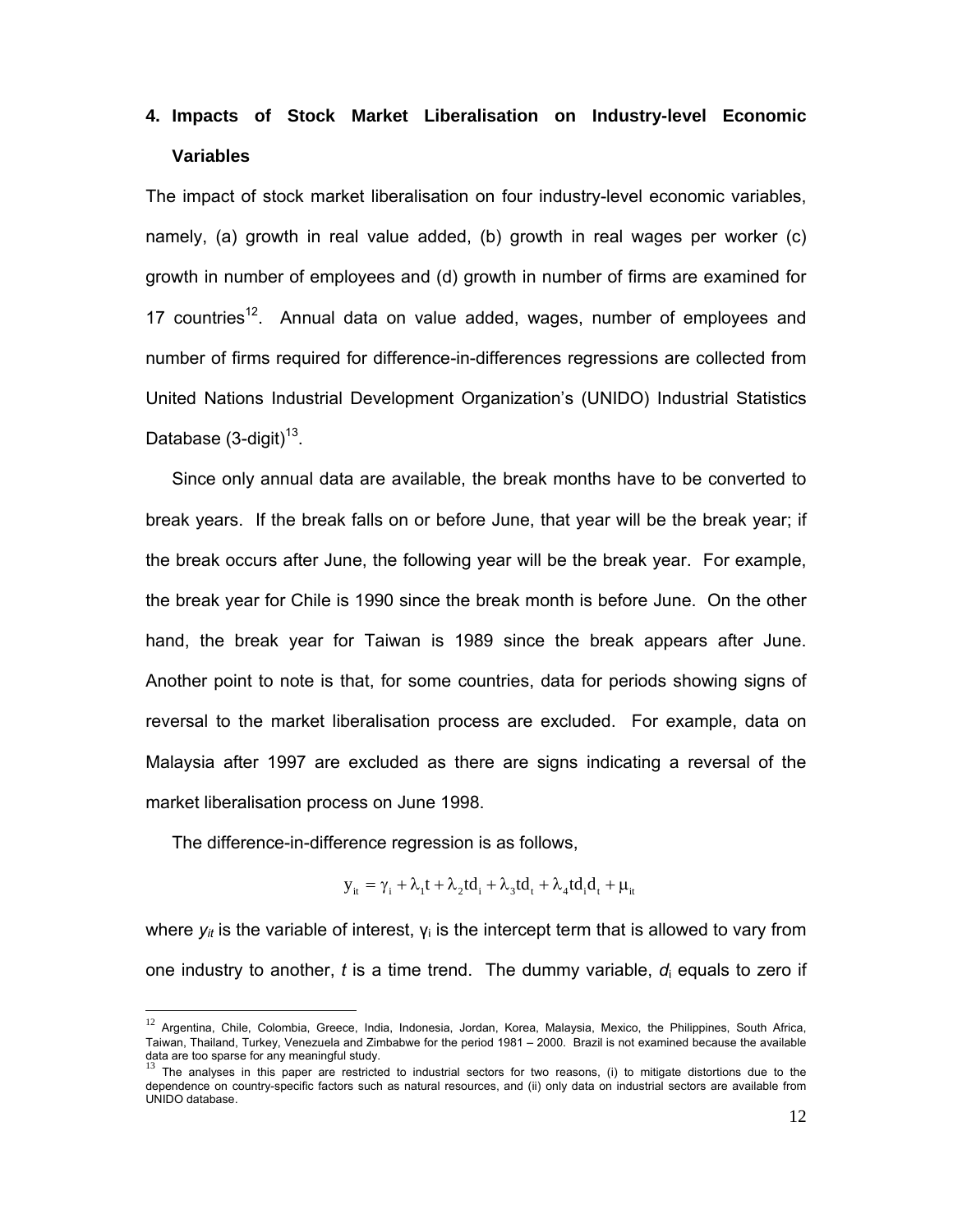### **4. Impacts of Stock Market Liberalisation on Industry-level Economic Variables**

The impact of stock market liberalisation on four industry-level economic variables, namely, (a) growth in real value added, (b) growth in real wages per worker (c) growth in number of employees and (d) growth in number of firms are examined for 17 countries<sup>12</sup>. Annual data on value added, wages, number of employees and number of firms required for difference-in-differences regressions are collected from United Nations Industrial Development Organization's (UNIDO) Industrial Statistics Database  $(3$ -digit $)^{13}$ .

Since only annual data are available, the break months have to be converted to break years. If the break falls on or before June, that year will be the break year; if the break occurs after June, the following year will be the break year. For example, the break year for Chile is 1990 since the break month is before June. On the other hand, the break year for Taiwan is 1989 since the break appears after June. Another point to note is that, for some countries, data for periods showing signs of reversal to the market liberalisation process are excluded. For example, data on Malaysia after 1997 are excluded as there are signs indicating a reversal of the market liberalisation process on June 1998.

The difference-in-difference regression is as follows,

 $\overline{a}$ 

$$
\mathbf{y}_{it} = \gamma_i + \lambda_i t + \lambda_2 t \mathbf{d}_i + \lambda_3 t \mathbf{d}_t + \lambda_4 t \mathbf{d}_i \mathbf{d}_t + \mu_{it}
$$

where  $y_{it}$  is the variable of interest,  $y_i$  is the intercept term that is allowed to vary from one industry to another, *t* is a time trend. The dummy variable, *d*<sup>i</sup> equals to zero if

 $12$  Argentina, Chile, Colombia, Greece, India, Indonesia, Jordan, Korea, Malaysia, Mexico, the Philippines, South Africa, Taiwan, Thailand, Turkey, Venezuela and Zimbabwe for the period 1981 – 2000. Brazil is not examined because the available data are too sparse for any meaningful study.

 $13$  The analyses in this paper are restricted to industrial sectors for two reasons, (i) to mitigate distortions due to the dependence on country-specific factors such as natural resources, and (ii) only data on industrial sectors are available from UNIDO database.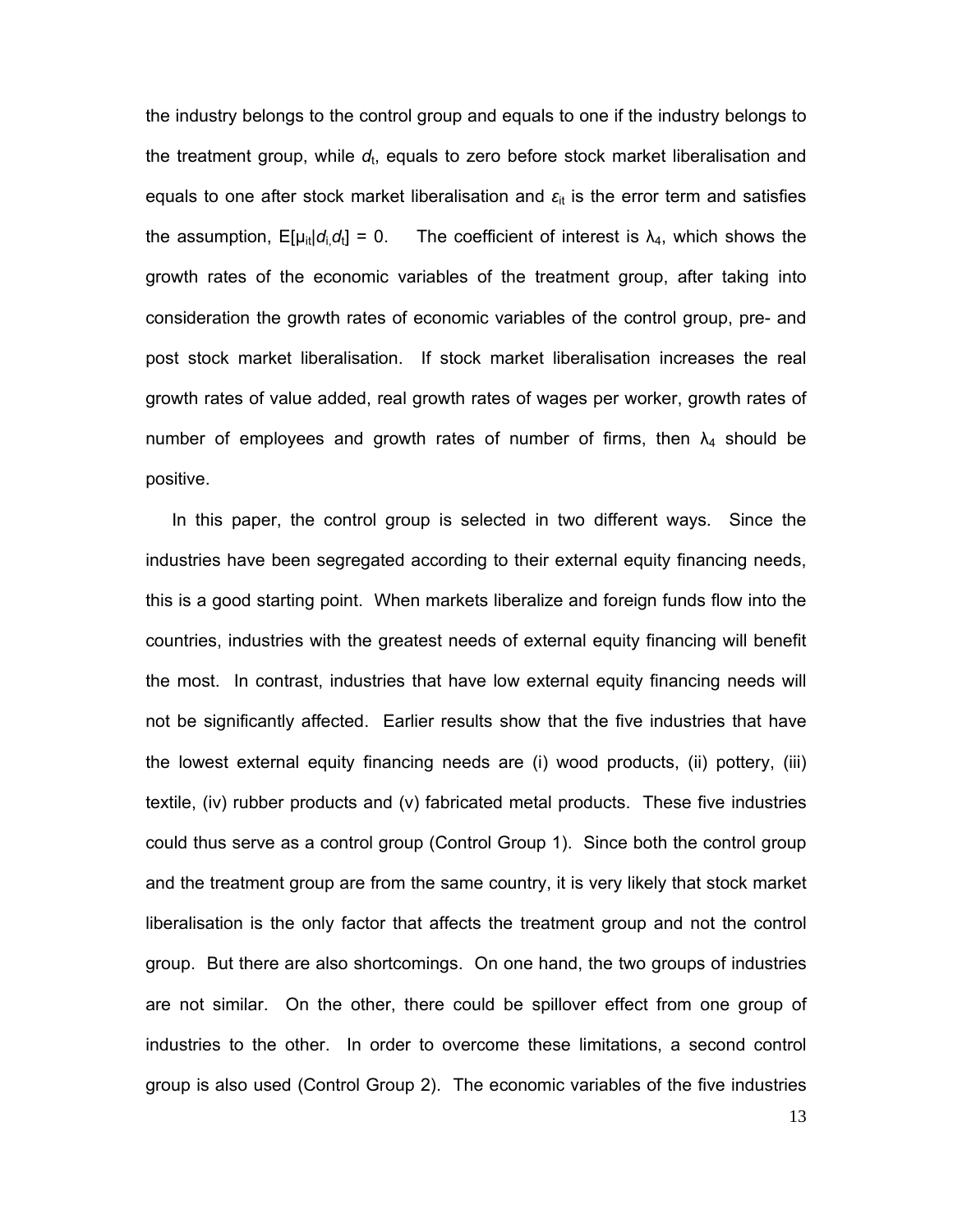the industry belongs to the control group and equals to one if the industry belongs to the treatment group, while  $d_t$ , equals to zero before stock market liberalisation and equals to one after stock market liberalisation and  $\varepsilon_{it}$  is the error term and satisfies the assumption,  $E[\mu_{it}|d_i d_i] = 0$ . The coefficient of interest is  $\lambda_4$ , which shows the growth rates of the economic variables of the treatment group, after taking into consideration the growth rates of economic variables of the control group, pre- and post stock market liberalisation. If stock market liberalisation increases the real growth rates of value added, real growth rates of wages per worker, growth rates of number of employees and growth rates of number of firms, then  $\lambda_4$  should be positive.

 In this paper, the control group is selected in two different ways. Since the industries have been segregated according to their external equity financing needs, this is a good starting point. When markets liberalize and foreign funds flow into the countries, industries with the greatest needs of external equity financing will benefit the most. In contrast, industries that have low external equity financing needs will not be significantly affected. Earlier results show that the five industries that have the lowest external equity financing needs are (i) wood products, (ii) pottery, (iii) textile, (iv) rubber products and (v) fabricated metal products. These five industries could thus serve as a control group (Control Group 1). Since both the control group and the treatment group are from the same country, it is very likely that stock market liberalisation is the only factor that affects the treatment group and not the control group. But there are also shortcomings. On one hand, the two groups of industries are not similar. On the other, there could be spillover effect from one group of industries to the other. In order to overcome these limitations, a second control group is also used (Control Group 2). The economic variables of the five industries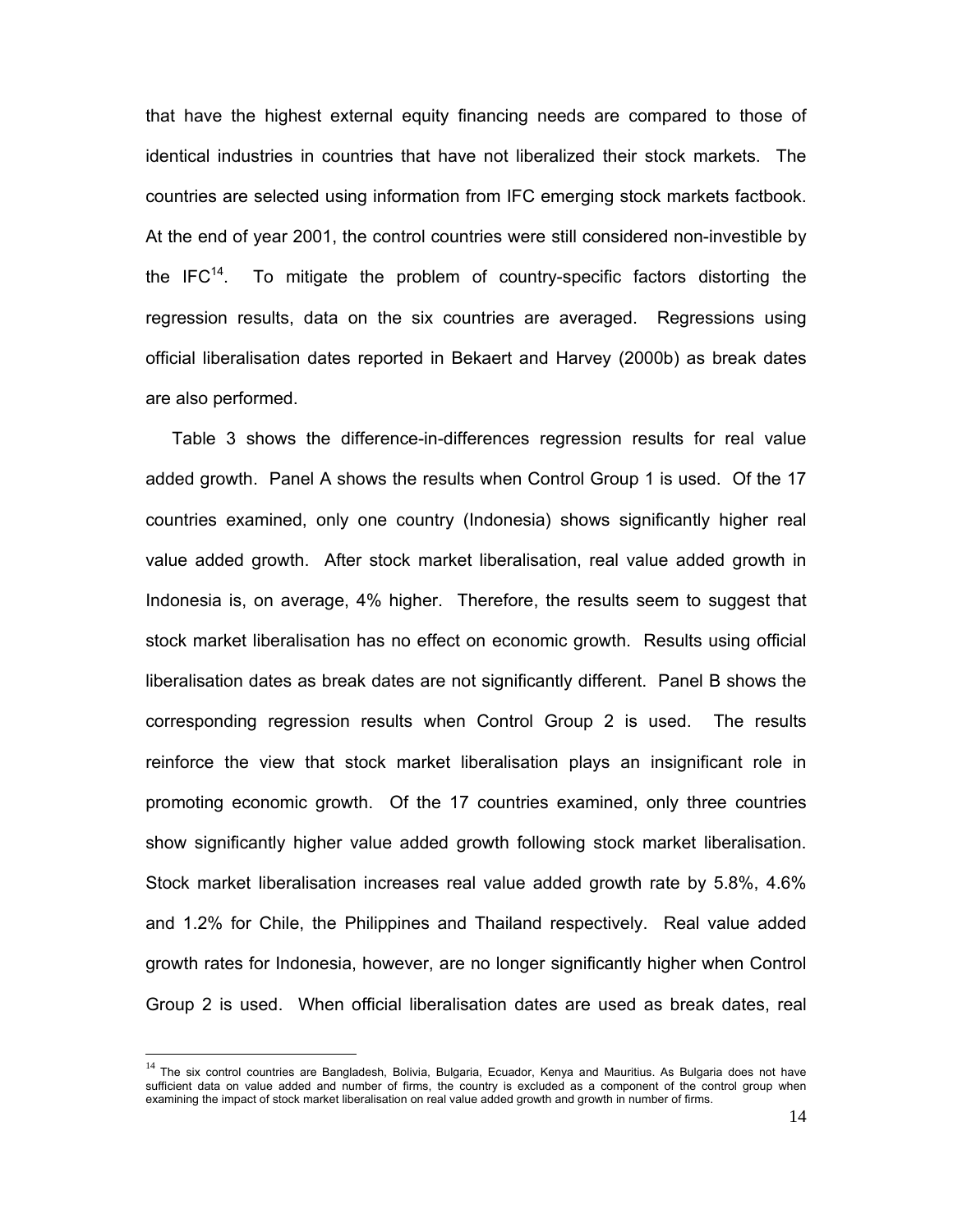that have the highest external equity financing needs are compared to those of identical industries in countries that have not liberalized their stock markets. The countries are selected using information from IFC emerging stock markets factbook. At the end of year 2001, the control countries were still considered non-investible by the IFC<sup>14</sup>. To mitigate the problem of country-specific factors distorting the regression results, data on the six countries are averaged. Regressions using official liberalisation dates reported in Bekaert and Harvey (2000b) as break dates are also performed.

 Table 3 shows the difference-in-differences regression results for real value added growth. Panel A shows the results when Control Group 1 is used. Of the 17 countries examined, only one country (Indonesia) shows significantly higher real value added growth. After stock market liberalisation, real value added growth in Indonesia is, on average, 4% higher. Therefore, the results seem to suggest that stock market liberalisation has no effect on economic growth. Results using official liberalisation dates as break dates are not significantly different. Panel B shows the corresponding regression results when Control Group 2 is used. The results reinforce the view that stock market liberalisation plays an insignificant role in promoting economic growth. Of the 17 countries examined, only three countries show significantly higher value added growth following stock market liberalisation. Stock market liberalisation increases real value added growth rate by 5.8%, 4.6% and 1.2% for Chile, the Philippines and Thailand respectively. Real value added growth rates for Indonesia, however, are no longer significantly higher when Control Group 2 is used. When official liberalisation dates are used as break dates, real

 $\overline{a}$ 

 $14$  The six control countries are Bangladesh, Bolivia, Bulgaria, Ecuador, Kenya and Mauritius. As Bulgaria does not have sufficient data on value added and number of firms, the country is excluded as a component of the control group when examining the impact of stock market liberalisation on real value added growth and growth in number of firms.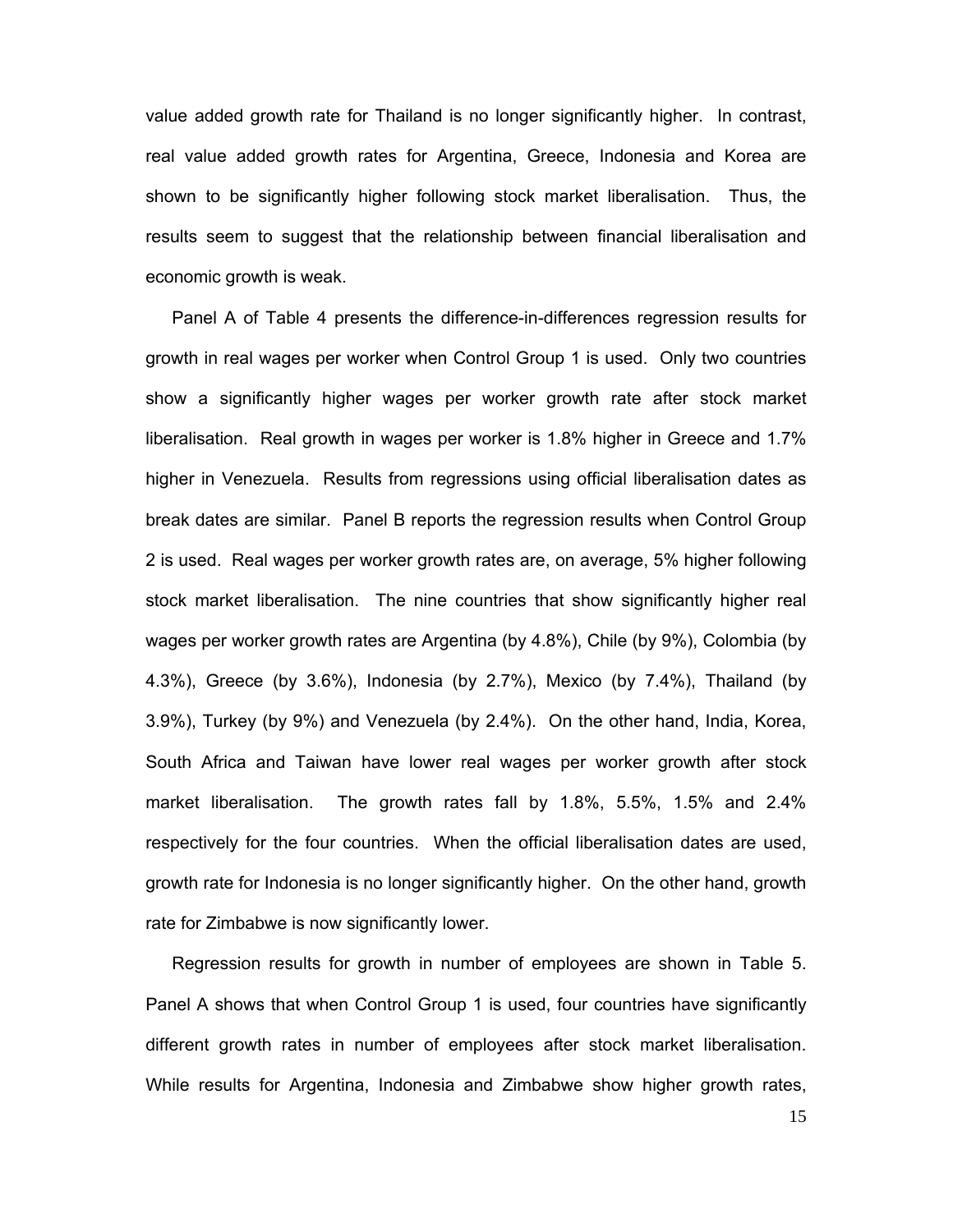value added growth rate for Thailand is no longer significantly higher. In contrast, real value added growth rates for Argentina, Greece, Indonesia and Korea are shown to be significantly higher following stock market liberalisation. Thus, the results seem to suggest that the relationship between financial liberalisation and economic growth is weak.

 Panel A of Table 4 presents the difference-in-differences regression results for growth in real wages per worker when Control Group 1 is used. Only two countries show a significantly higher wages per worker growth rate after stock market liberalisation. Real growth in wages per worker is 1.8% higher in Greece and 1.7% higher in Venezuela. Results from regressions using official liberalisation dates as break dates are similar. Panel B reports the regression results when Control Group 2 is used. Real wages per worker growth rates are, on average, 5% higher following stock market liberalisation. The nine countries that show significantly higher real wages per worker growth rates are Argentina (by 4.8%), Chile (by 9%), Colombia (by 4.3%), Greece (by 3.6%), Indonesia (by 2.7%), Mexico (by 7.4%), Thailand (by 3.9%), Turkey (by 9%) and Venezuela (by 2.4%). On the other hand, India, Korea, South Africa and Taiwan have lower real wages per worker growth after stock market liberalisation. The growth rates fall by 1.8%, 5.5%, 1.5% and 2.4% respectively for the four countries. When the official liberalisation dates are used, growth rate for Indonesia is no longer significantly higher. On the other hand, growth rate for Zimbabwe is now significantly lower.

 Regression results for growth in number of employees are shown in Table 5. Panel A shows that when Control Group 1 is used, four countries have significantly different growth rates in number of employees after stock market liberalisation. While results for Argentina, Indonesia and Zimbabwe show higher growth rates,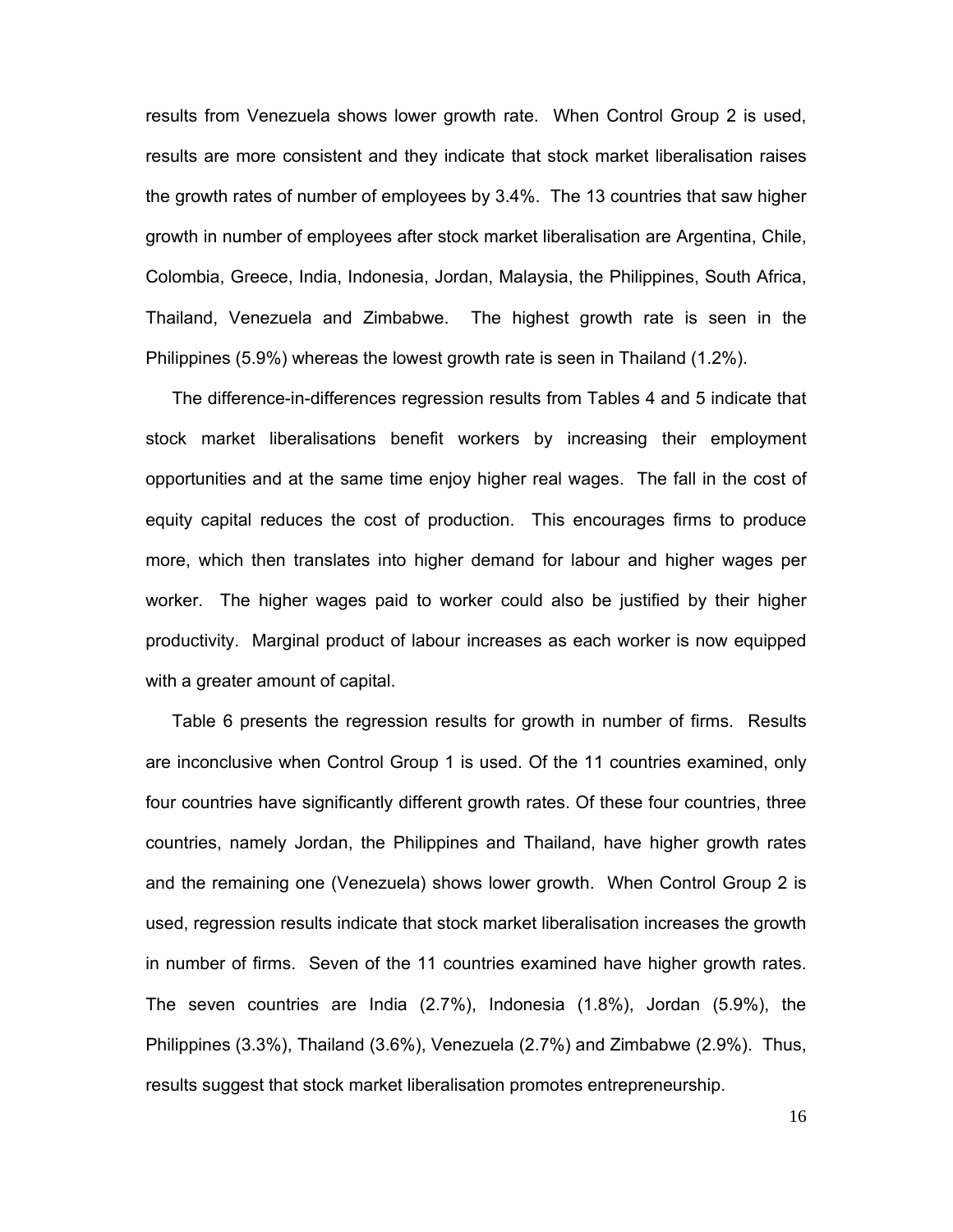results from Venezuela shows lower growth rate. When Control Group 2 is used, results are more consistent and they indicate that stock market liberalisation raises the growth rates of number of employees by 3.4%. The 13 countries that saw higher growth in number of employees after stock market liberalisation are Argentina, Chile, Colombia, Greece, India, Indonesia, Jordan, Malaysia, the Philippines, South Africa, Thailand, Venezuela and Zimbabwe. The highest growth rate is seen in the Philippines (5.9%) whereas the lowest growth rate is seen in Thailand (1.2%).

 The difference-in-differences regression results from Tables 4 and 5 indicate that stock market liberalisations benefit workers by increasing their employment opportunities and at the same time enjoy higher real wages. The fall in the cost of equity capital reduces the cost of production. This encourages firms to produce more, which then translates into higher demand for labour and higher wages per worker. The higher wages paid to worker could also be justified by their higher productivity. Marginal product of labour increases as each worker is now equipped with a greater amount of capital.

 Table 6 presents the regression results for growth in number of firms. Results are inconclusive when Control Group 1 is used. Of the 11 countries examined, only four countries have significantly different growth rates. Of these four countries, three countries, namely Jordan, the Philippines and Thailand, have higher growth rates and the remaining one (Venezuela) shows lower growth. When Control Group 2 is used, regression results indicate that stock market liberalisation increases the growth in number of firms. Seven of the 11 countries examined have higher growth rates. The seven countries are India (2.7%), Indonesia (1.8%), Jordan (5.9%), the Philippines (3.3%), Thailand (3.6%), Venezuela (2.7%) and Zimbabwe (2.9%). Thus, results suggest that stock market liberalisation promotes entrepreneurship.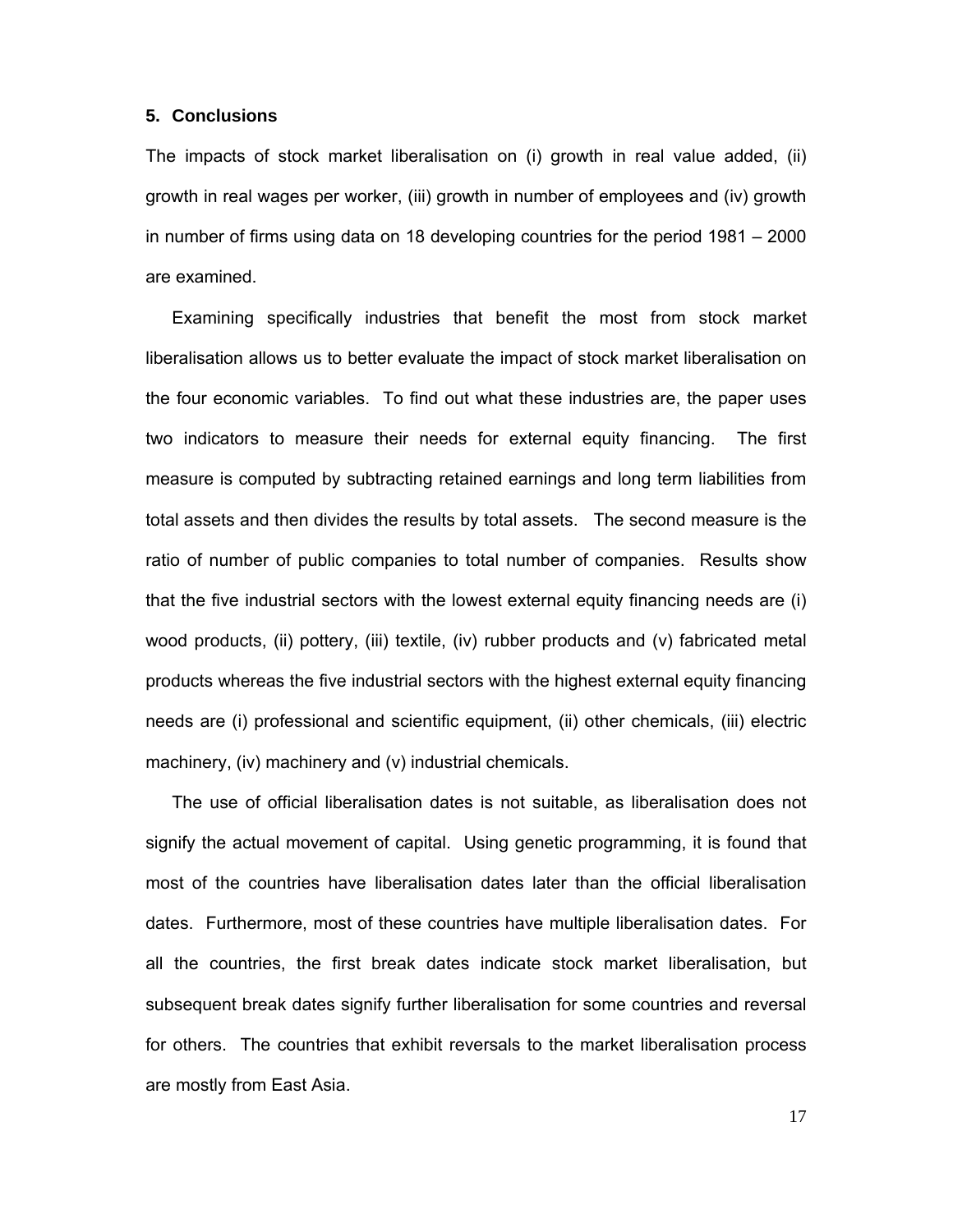#### **5. Conclusions**

The impacts of stock market liberalisation on (i) growth in real value added, (ii) growth in real wages per worker, (iii) growth in number of employees and (iv) growth in number of firms using data on 18 developing countries for the period 1981 – 2000 are examined.

Examining specifically industries that benefit the most from stock market liberalisation allows us to better evaluate the impact of stock market liberalisation on the four economic variables. To find out what these industries are, the paper uses two indicators to measure their needs for external equity financing. The first measure is computed by subtracting retained earnings and long term liabilities from total assets and then divides the results by total assets. The second measure is the ratio of number of public companies to total number of companies. Results show that the five industrial sectors with the lowest external equity financing needs are (i) wood products, (ii) pottery, (iii) textile, (iv) rubber products and (v) fabricated metal products whereas the five industrial sectors with the highest external equity financing needs are (i) professional and scientific equipment, (ii) other chemicals, (iii) electric machinery, (iv) machinery and (v) industrial chemicals.

The use of official liberalisation dates is not suitable, as liberalisation does not signify the actual movement of capital. Using genetic programming, it is found that most of the countries have liberalisation dates later than the official liberalisation dates. Furthermore, most of these countries have multiple liberalisation dates. For all the countries, the first break dates indicate stock market liberalisation, but subsequent break dates signify further liberalisation for some countries and reversal for others. The countries that exhibit reversals to the market liberalisation process are mostly from East Asia.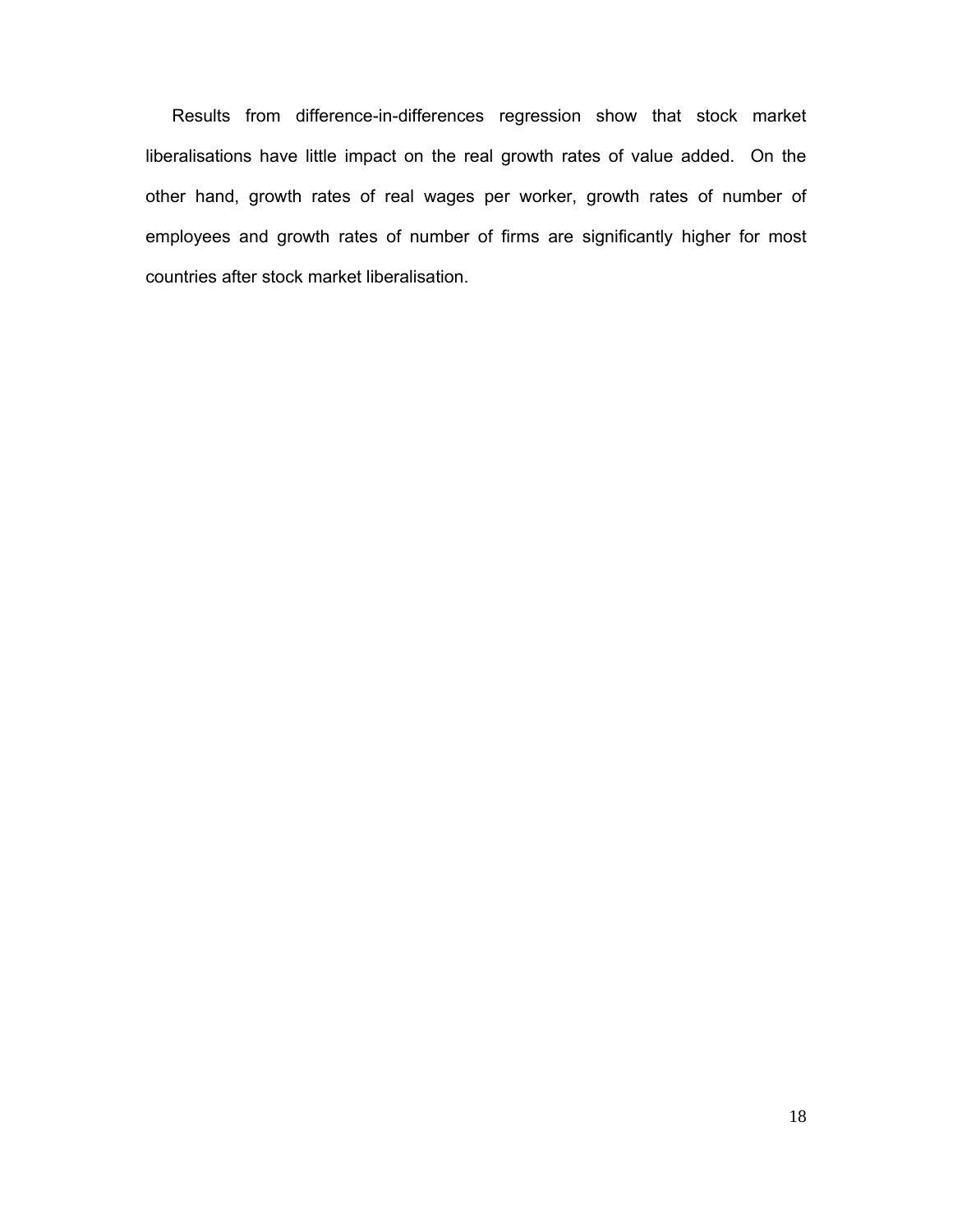Results from difference-in-differences regression show that stock market liberalisations have little impact on the real growth rates of value added. On the other hand, growth rates of real wages per worker, growth rates of number of employees and growth rates of number of firms are significantly higher for most countries after stock market liberalisation.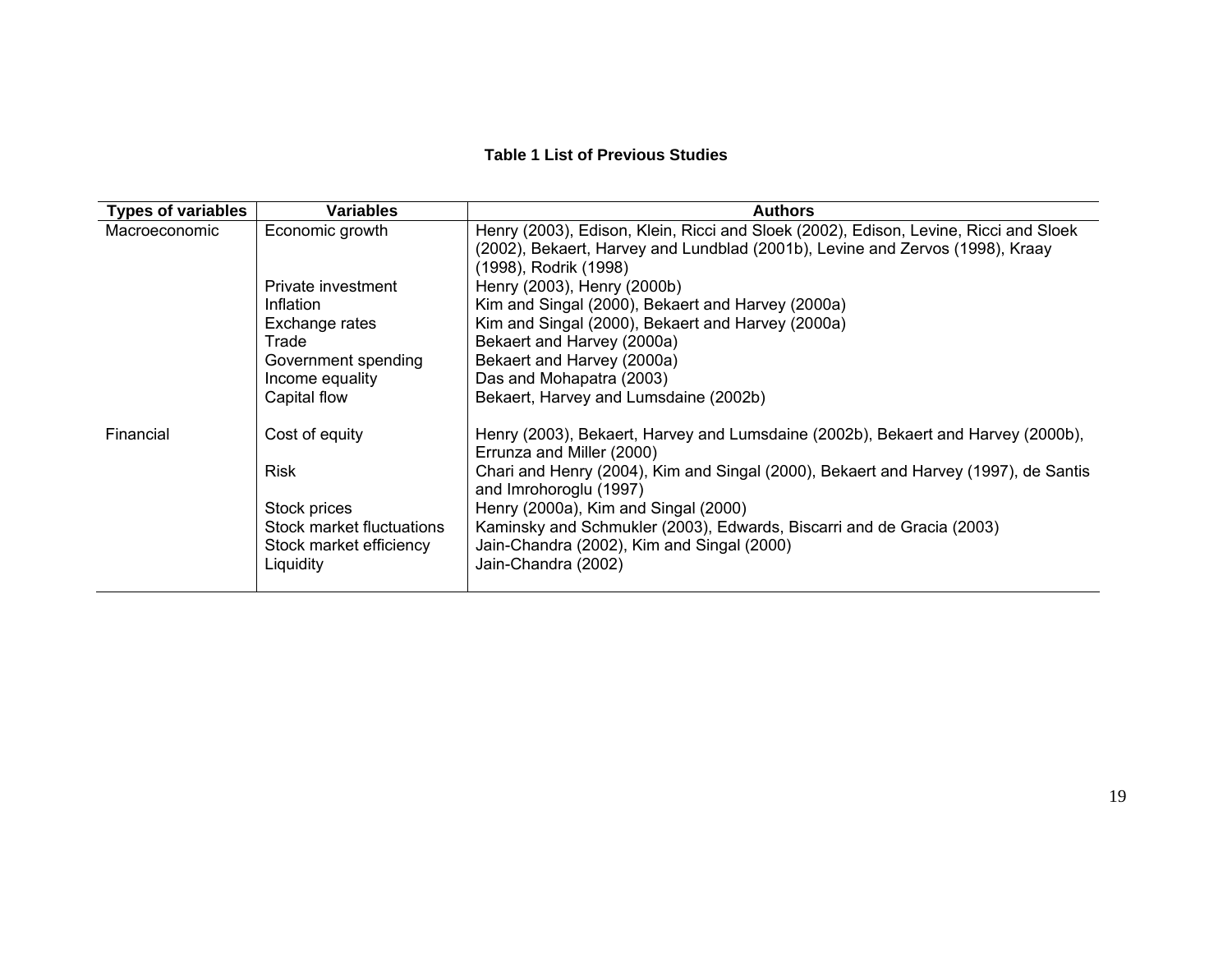#### **Table 1 List of Previous Studies**

| <b>Types of variables</b> | Variables                 | <b>Authors</b>                                                                                                                                                                                 |
|---------------------------|---------------------------|------------------------------------------------------------------------------------------------------------------------------------------------------------------------------------------------|
| Macroeconomic             | Economic growth           | Henry (2003), Edison, Klein, Ricci and Sloek (2002), Edison, Levine, Ricci and Sloek<br>(2002), Bekaert, Harvey and Lundblad (2001b), Levine and Zervos (1998), Kraay<br>(1998), Rodrik (1998) |
|                           | Private investment        | Henry (2003), Henry (2000b)                                                                                                                                                                    |
|                           | Inflation                 | Kim and Singal (2000), Bekaert and Harvey (2000a)                                                                                                                                              |
|                           | Exchange rates            | Kim and Singal (2000), Bekaert and Harvey (2000a)                                                                                                                                              |
|                           | Trade                     | Bekaert and Harvey (2000a)                                                                                                                                                                     |
|                           | Government spending       | Bekaert and Harvey (2000a)                                                                                                                                                                     |
|                           | Income equality           | Das and Mohapatra (2003)                                                                                                                                                                       |
|                           | Capital flow              | Bekaert, Harvey and Lumsdaine (2002b)                                                                                                                                                          |
| Financial                 | Cost of equity            | Henry (2003), Bekaert, Harvey and Lumsdaine (2002b), Bekaert and Harvey (2000b),<br>Errunza and Miller (2000)                                                                                  |
|                           | <b>Risk</b>               | Chari and Henry (2004), Kim and Singal (2000), Bekaert and Harvey (1997), de Santis<br>and Imrohoroglu (1997)                                                                                  |
|                           | Stock prices              | Henry (2000a), Kim and Singal (2000)                                                                                                                                                           |
|                           | Stock market fluctuations | Kaminsky and Schmukler (2003), Edwards, Biscarri and de Gracia (2003)                                                                                                                          |
|                           | Stock market efficiency   | Jain-Chandra (2002), Kim and Singal (2000)                                                                                                                                                     |
|                           | Liquidity                 | Jain-Chandra (2002)                                                                                                                                                                            |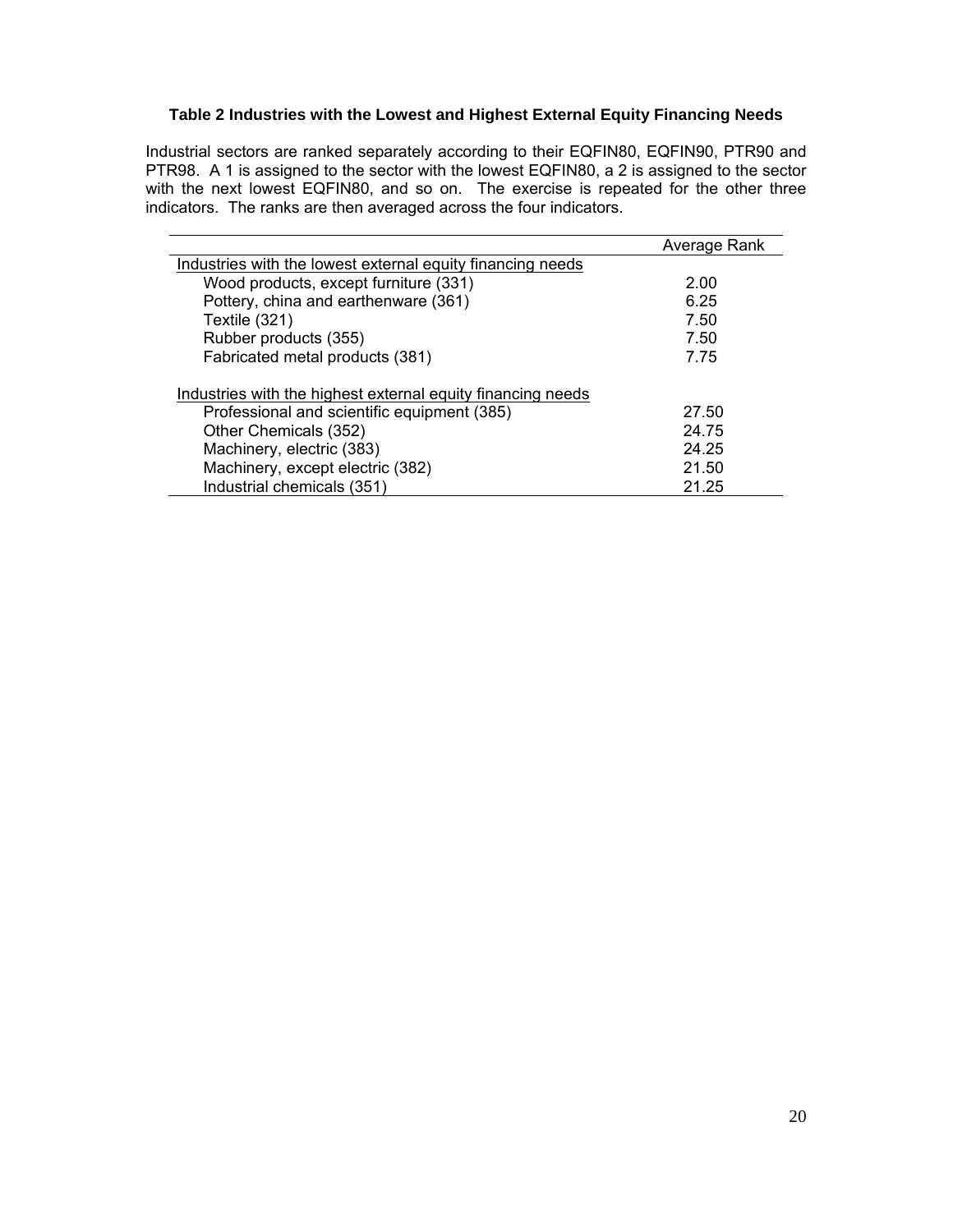#### **Table 2 Industries with the Lowest and Highest External Equity Financing Needs**

Industrial sectors are ranked separately according to their EQFIN80, EQFIN90, PTR90 and PTR98. A 1 is assigned to the sector with the lowest EQFIN80, a 2 is assigned to the sector with the next lowest EQFIN80, and so on. The exercise is repeated for the other three indicators. The ranks are then averaged across the four indicators.

|                                                             | Average Rank |
|-------------------------------------------------------------|--------------|
| Industries with the lowest external equity financing needs  |              |
| Wood products, except furniture (331)                       | 2.00         |
| Pottery, china and earthenware (361)                        | 6.25         |
| Textile (321)                                               | 7.50         |
| Rubber products (355)                                       | 7.50         |
| Fabricated metal products (381)                             | 7.75         |
| Industries with the highest external equity financing needs |              |
| Professional and scientific equipment (385)                 | 27.50        |
| Other Chemicals (352)                                       | 24.75        |
| Machinery, electric (383)                                   | 24.25        |
| Machinery, except electric (382)                            | 21.50        |
| Industrial chemicals (351)                                  | 21.25        |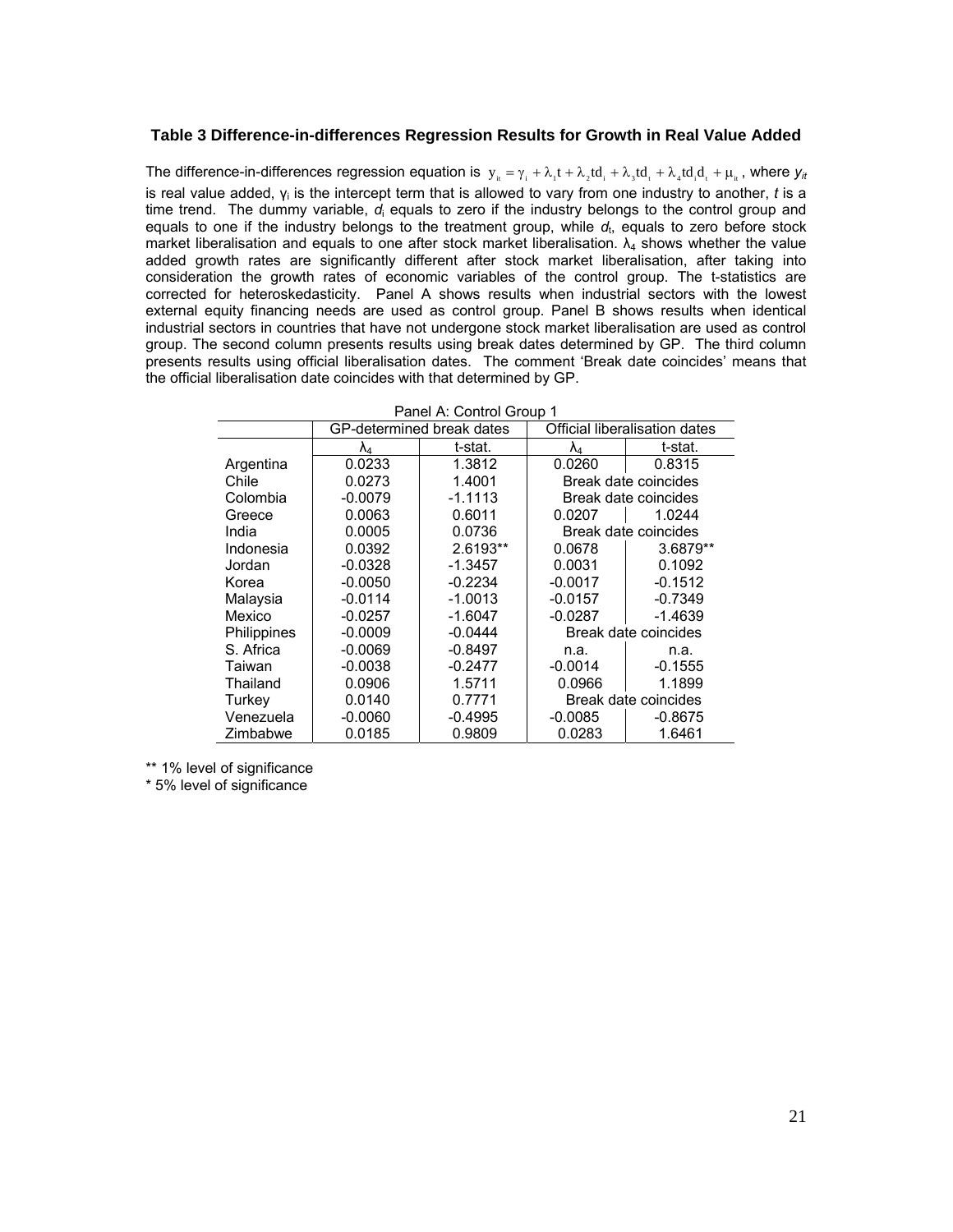#### **Table 3 Difference-in-differences Regression Results for Growth in Real Value Added**

The difference-in-differences regression equation is  $y_{i} = \gamma_i + \lambda_i t + \lambda_2 t d_i + \lambda_3 t d_i + \lambda_4 t d_i d_i + \mu_{i}$ , where  $y_{it}$ is real value added, γ<sub>i</sub> is the intercept term that is allowed to vary from one industry to another, *t* is a time trend. The dummy variable, *d*<sup>i</sup> equals to zero if the industry belongs to the control group and equals to one if the industry belongs to the treatment group, while  $d_t$ , equals to zero before stock market liberalisation and equals to one after stock market liberalisation.  $\lambda_4$  shows whether the value added growth rates are significantly different after stock market liberalisation, after taking into consideration the growth rates of economic variables of the control group. The t-statistics are corrected for heteroskedasticity. Panel A shows results when industrial sectors with the lowest external equity financing needs are used as control group. Panel B shows results when identical industrial sectors in countries that have not undergone stock market liberalisation are used as control group. The second column presents results using break dates determined by GP. The third column presents results using official liberalisation dates. The comment 'Break date coincides' means that the official liberalisation date coincides with that determined by GP.

|  |  | Panel A: Control Group 1 |  |  |
|--|--|--------------------------|--|--|
|--|--|--------------------------|--|--|

|                    | GP-determined break dates |           |                      | Official liberalisation dates |
|--------------------|---------------------------|-----------|----------------------|-------------------------------|
|                    | ٨Δ                        | t-stat.   | λ⊿                   | t-stat.                       |
| Argentina          | 0.0233                    | 1.3812    | 0.0260               | 0.8315                        |
| Chile              | 0.0273                    | 1.4001    |                      | Break date coincides          |
| Colombia           | $-0.0079$                 | $-1.1113$ |                      | Break date coincides          |
| Greece             | 0.0063                    | 0.6011    | 0.0207               | 1.0244                        |
| India              | 0.0005                    | 0.0736    |                      | Break date coincides          |
| Indonesia          | 0.0392                    | 2.6193**  | 0.0678               | 3.6879**                      |
| Jordan             | $-0.0328$                 | $-1.3457$ | 0.0031               | 0.1092                        |
| Korea              | $-0.0050$                 | $-0.2234$ | $-0.0017$            | -0.1512                       |
| Malaysia           | $-0.0114$                 | $-1.0013$ | $-0.0157$            | -0.7349                       |
| Mexico             | $-0.0257$                 | $-1.6047$ | $-0.0287$            | $-1.4639$                     |
| <b>Philippines</b> | $-0.0009$                 | $-0.0444$ |                      | Break date coincides          |
| S. Africa          | $-0.0069$                 | $-0.8497$ | n.a.                 | n.a.                          |
| Taiwan             | $-0.0038$                 | $-0.2477$ | $-0.0014$            | $-0.1555$                     |
| Thailand           | 0.0906                    | 1.5711    | 0.0966               | 1.1899                        |
| Turkey             | 0.0140                    | 0.7771    | Break date coincides |                               |
| Venezuela          | $-0.0060$                 | $-0.4995$ | $-0.0085$            | $-0.8675$                     |
| Zimbabwe           | 0.0185                    | 0.9809    | 0.0283               | 1.6461                        |

\*\* 1% level of significance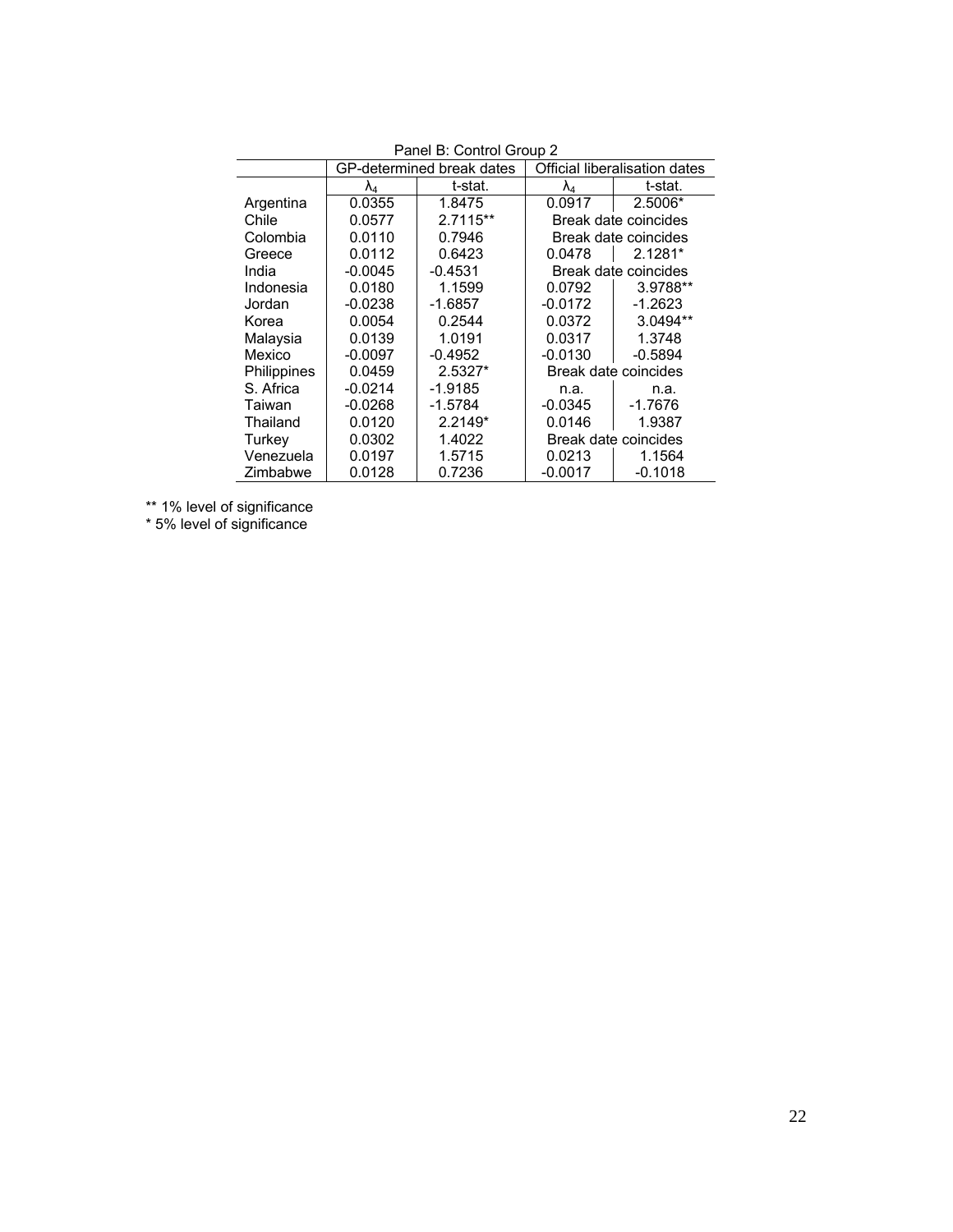| Panel B: Control Group 2 |           |                           |                               |                      |  |
|--------------------------|-----------|---------------------------|-------------------------------|----------------------|--|
|                          |           | GP-determined break dates | Official liberalisation dates |                      |  |
|                          | λ4        | t-stat.                   | λΔ                            | t-stat.              |  |
| Argentina                | 0.0355    | 1.8475                    | 0.0917                        | 2.5006*              |  |
| Chile                    | 0.0577    | 2.7115**                  |                               | Break date coincides |  |
| Colombia                 | 0.0110    | 0.7946                    |                               | Break date coincides |  |
| Greece                   | 0.0112    | 0.6423                    | 0.0478                        | $2.1281*$            |  |
| India                    | $-0.0045$ | $-0.4531$                 |                               | Break date coincides |  |
| Indonesia                | 0.0180    | 1.1599                    | 0.0792                        | 3.9788**             |  |
| Jordan                   | $-0.0238$ | $-1.6857$                 | $-0.0172$                     | $-1.2623$            |  |
| Korea                    | 0.0054    | 0.2544                    | 0.0372                        | 3.0494**             |  |
| Malaysia                 | 0.0139    | 1.0191                    | 0.0317                        | 1.3748               |  |
| Mexico                   | $-0.0097$ | $-0.4952$                 | $-0.0130$                     | $-0.5894$            |  |
| <b>Philippines</b>       | 0.0459    | $2.5327*$                 |                               | Break date coincides |  |
| S. Africa                | $-0.0214$ | $-1.9185$                 | n.a.                          | n.a.                 |  |
| Taiwan                   | $-0.0268$ | $-1.5784$                 | $-0.0345$                     | $-1.7676$            |  |
| Thailand                 | 0.0120    | $2.2149*$                 | 0.0146                        | 1.9387               |  |
| Turkey                   | 0.0302    | 1.4022                    |                               | Break date coincides |  |
| Venezuela                | 0.0197    | 1.5715                    | 0.0213                        | 1.1564               |  |
| Zimbabwe                 | 0.0128    | 0.7236                    | -0.0017                       | $-0.1018$            |  |

Panel B: Control Group 2

\*\* 1% level of significance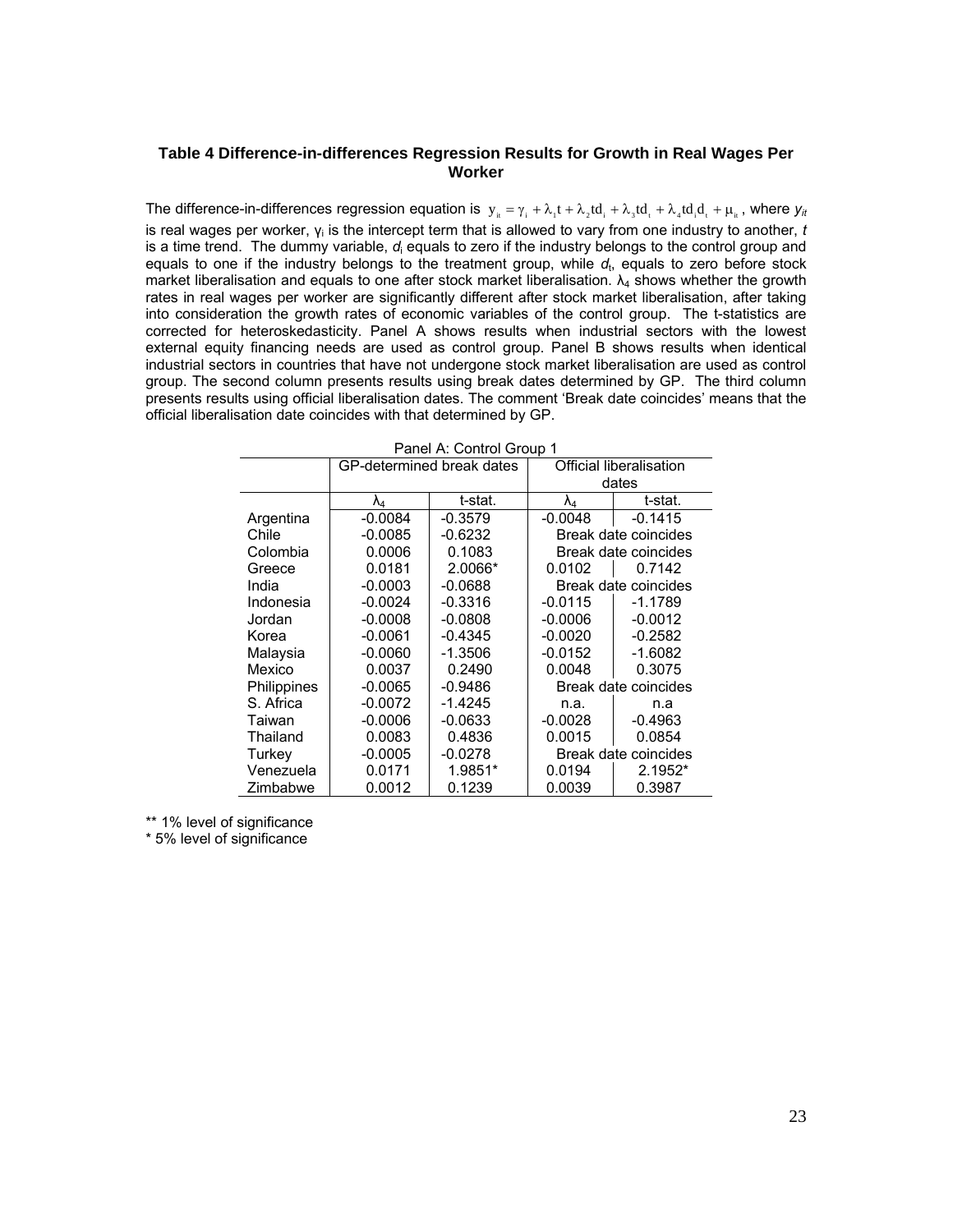#### **Table 4 Difference-in-differences Regression Results for Growth in Real Wages Per Worker**

The difference-in-differences regression equation is  $y_{i} = \gamma_i + \lambda_i t + \lambda_j t d_i + \lambda_j t d_i + \lambda_4 t d_i d_t + \mu_{i_t}$ , where  $y_{it}$ is real wages per worker,  $y_i$  is the intercept term that is allowed to vary from one industry to another,  $t$ is a time trend. The dummy variable, *d*<sup>i</sup> equals to zero if the industry belongs to the control group and equals to one if the industry belongs to the treatment group, while  $d_t$ , equals to zero before stock market liberalisation and equals to one after stock market liberalisation.  $\lambda_4$  shows whether the growth rates in real wages per worker are significantly different after stock market liberalisation, after taking into consideration the growth rates of economic variables of the control group. The t-statistics are corrected for heteroskedasticity. Panel A shows results when industrial sectors with the lowest external equity financing needs are used as control group. Panel B shows results when identical industrial sectors in countries that have not undergone stock market liberalisation are used as control group. The second column presents results using break dates determined by GP. The third column presents results using official liberalisation dates. The comment 'Break date coincides' means that the official liberalisation date coincides with that determined by GP.

| $\frac{1}{2}$ and $\frac{1}{2}$ . So no show that |             |                           |                         |                      |  |
|---------------------------------------------------|-------------|---------------------------|-------------------------|----------------------|--|
|                                                   |             | GP-determined break dates | Official liberalisation |                      |  |
|                                                   |             |                           | dates                   |                      |  |
|                                                   | $\lambda_4$ | t-stat.                   | $\lambda_4$             | t-stat.              |  |
| Argentina                                         | $-0.0084$   | $-0.3579$                 | $-0.0048$               | $-0.1415$            |  |
| Chile                                             | $-0.0085$   | $-0.6232$                 |                         | Break date coincides |  |
| Colombia                                          | 0.0006      | 0.1083                    |                         | Break date coincides |  |
| Greece                                            | 0.0181      | 2.0066*                   | 0.0102                  | 0.7142               |  |
| India                                             | $-0.0003$   | $-0.0688$                 | Break date coincides    |                      |  |
| Indonesia                                         | $-0.0024$   | $-0.3316$                 | $-0.0115$               | $-1.1789$            |  |
| Jordan                                            | $-0.0008$   | $-0.0808$                 | -0.0006                 | $-0.0012$            |  |
| Korea                                             | $-0.0061$   | $-0.4345$                 | $-0.0020$               | $-0.2582$            |  |
| Malaysia                                          | $-0.0060$   | $-1.3506$                 | -0.0152                 | $-1.6082$            |  |
| Mexico                                            | 0.0037      | 0.2490                    | 0.0048                  | 0.3075               |  |
| Philippines                                       | $-0.0065$   | $-0.9486$                 |                         | Break date coincides |  |
| S. Africa                                         | $-0.0072$   | $-1.4245$                 | n.a.                    | n.a                  |  |
| Taiwan                                            | $-0.0006$   | $-0.0633$                 | $-0.0028$               | $-0.4963$            |  |
| Thailand                                          | 0.0083      | 0.4836                    | 0.0015                  | 0.0854               |  |
| Turkey                                            | $-0.0005$   | $-0.0278$                 | Break date coincides    |                      |  |
| Venezuela                                         | 0.0171      | 1.9851*                   | 0.0194                  | 2.1952*              |  |
| Zimbabwe                                          | 0.0012      | 0.1239                    | 0.0039                  | 0.3987               |  |

|  |  | Panel A: Control Group 1 |  |  |
|--|--|--------------------------|--|--|
|--|--|--------------------------|--|--|

\*\* 1% level of significance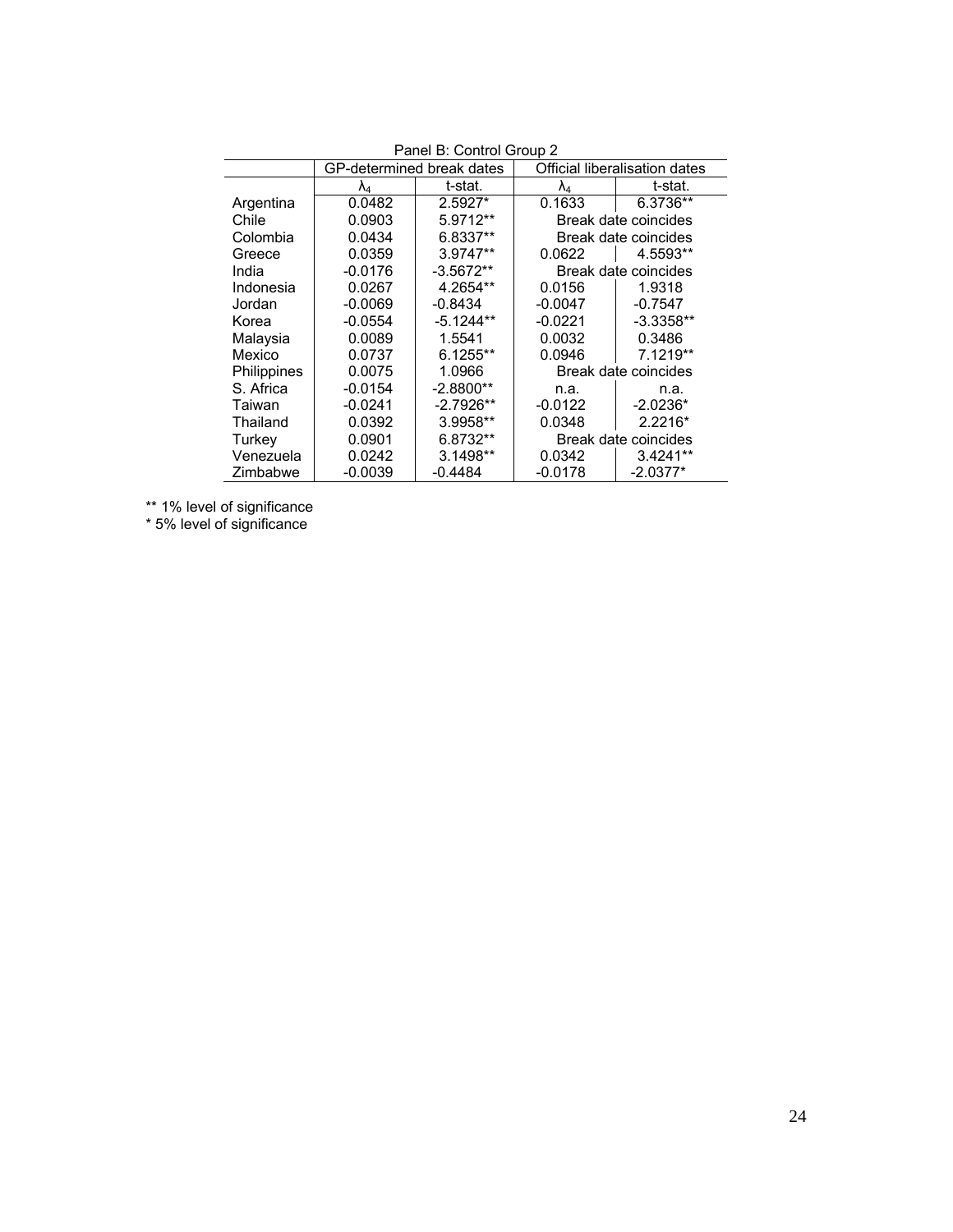| Panel B: Control Group 2 |                           |             |                               |                      |  |
|--------------------------|---------------------------|-------------|-------------------------------|----------------------|--|
|                          | GP-determined break dates |             | Official liberalisation dates |                      |  |
|                          | $\lambda_4$               | t-stat.     | λ4                            | t-stat.              |  |
| Argentina                | 0.0482                    | 2.5927*     | 0.1633                        | 6.3736**             |  |
| Chile                    | 0.0903                    | 5.9712**    |                               | Break date coincides |  |
| Colombia                 | 0.0434                    | 6.8337**    |                               | Break date coincides |  |
| Greece                   | 0.0359                    | 3.9747**    | 0.0622                        | 4.5593**             |  |
| India                    | $-0.0176$                 | $-3.5672**$ |                               | Break date coincides |  |
| Indonesia                | 0.0267                    | 4.2654**    | 0.0156                        | 1.9318               |  |
| Jordan                   | $-0.0069$                 | $-0.8434$   | $-0.0047$                     | $-0.7547$            |  |
| Korea                    | $-0.0554$                 | $-5.1244**$ | $-0.0221$                     | $-3.3358**$          |  |
| Malaysia                 | 0.0089                    | 1.5541      | 0.0032                        | 0.3486               |  |
| Mexico                   | 0.0737                    | $6.1255**$  | 0.0946                        | 7.1219**             |  |
| Philippines              | 0.0075                    | 1.0966      |                               | Break date coincides |  |
| S. Africa                | $-0.0154$                 | $-2.8800**$ | n.a.                          | n.a.                 |  |
| Taiwan                   | $-0.0241$                 | $-2.7926**$ | $-0.0122$                     | $-2.0236*$           |  |
| Thailand                 | 0.0392                    | 3.9958**    | 0.0348                        | 2.2216*              |  |
| Turkey                   | 0.0901                    | 6.8732**    |                               | Break date coincides |  |
| Venezuela                | 0.0242                    | 3.1498**    | 0.0342                        | $3.4241**$           |  |
| Zimbabwe                 | -0.0039                   | $-0.4484$   | $-0.0178$                     | $-2.0377*$           |  |

Panel B: Control Group 2

\*\* 1% level of significance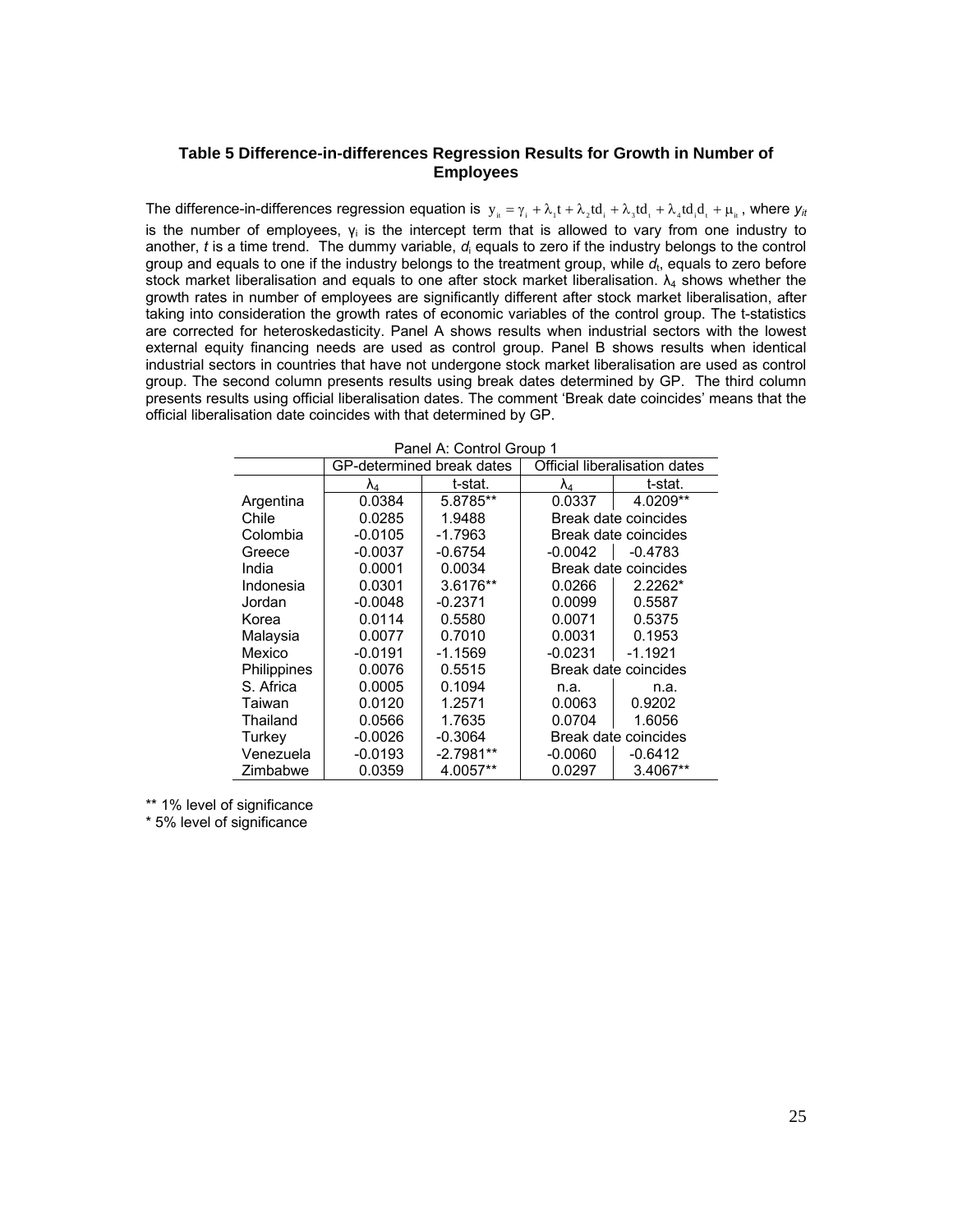#### **Table 5 Difference-in-differences Regression Results for Growth in Number of Employees**

The difference-in-differences regression equation is  $y_{i} = \gamma_i + \lambda_i t + \lambda_j t d_i + \lambda_j t d_i + \lambda_4 t d_i d_t + \mu_{i_t}$ , where  $y_{it}$ is the number of employees,  $y_i$  is the intercept term that is allowed to vary from one industry to another, *t* is a time trend. The dummy variable, *d*<sup>i</sup> equals to zero if the industry belongs to the control group and equals to one if the industry belongs to the treatment group, while *d*t, equals to zero before stock market liberalisation and equals to one after stock market liberalisation.  $\lambda_4$  shows whether the growth rates in number of employees are significantly different after stock market liberalisation, after taking into consideration the growth rates of economic variables of the control group. The t-statistics are corrected for heteroskedasticity. Panel A shows results when industrial sectors with the lowest external equity financing needs are used as control group. Panel B shows results when identical industrial sectors in countries that have not undergone stock market liberalisation are used as control group. The second column presents results using break dates determined by GP. The third column presents results using official liberalisation dates. The comment 'Break date coincides' means that the official liberalisation date coincides with that determined by GP.

|             |           | GP-determined break dates |                      | Official liberalisation dates |
|-------------|-----------|---------------------------|----------------------|-------------------------------|
|             | $\Lambda$ | t-stat.                   | λ⊿                   | t-stat.                       |
| Argentina   | 0.0384    | 5.8785**                  | 0.0337               | 4.0209**                      |
| Chile       | 0.0285    | 1.9488                    |                      | Break date coincides          |
| Colombia    | $-0.0105$ | -1.7963                   |                      | Break date coincides          |
| Greece      | $-0.0037$ | $-0.6754$                 | $-0.0042$            | $-0.4783$                     |
| India       | 0.0001    | 0.0034                    |                      | Break date coincides          |
| Indonesia   | 0.0301    | 3.6176**                  | 0.0266               | 2.2262*                       |
| Jordan      | $-0.0048$ | $-0.2371$                 | 0.0099               | 0.5587                        |
| Korea       | 0.0114    | 0.5580                    | 0.0071               | 0.5375                        |
| Malaysia    | 0.0077    | 0.7010                    | 0.0031               | 0.1953                        |
| Mexico      | $-0.0191$ | $-1.1569$                 | $-0.0231$            | $-1.1921$                     |
| Philippines | 0.0076    | 0.5515                    |                      | Break date coincides          |
| S. Africa   | 0.0005    | 0.1094                    | n.a.                 | n.a.                          |
| Taiwan      | 0.0120    | 1.2571                    | 0.0063               | 0.9202                        |
| Thailand    | 0.0566    | 1.7635                    | 0.0704               | 1.6056                        |
| Turkey      | $-0.0026$ | $-0.3064$                 | Break date coincides |                               |
| Venezuela   | $-0.0193$ | $-2.7981**$               | $-0.0060$            | $-0.6412$                     |
| Zimbabwe    | 0.0359    | 4.0057**                  | 0.0297               | 3.4067**                      |

Panel A: Control Group 1

\*\* 1% level of significance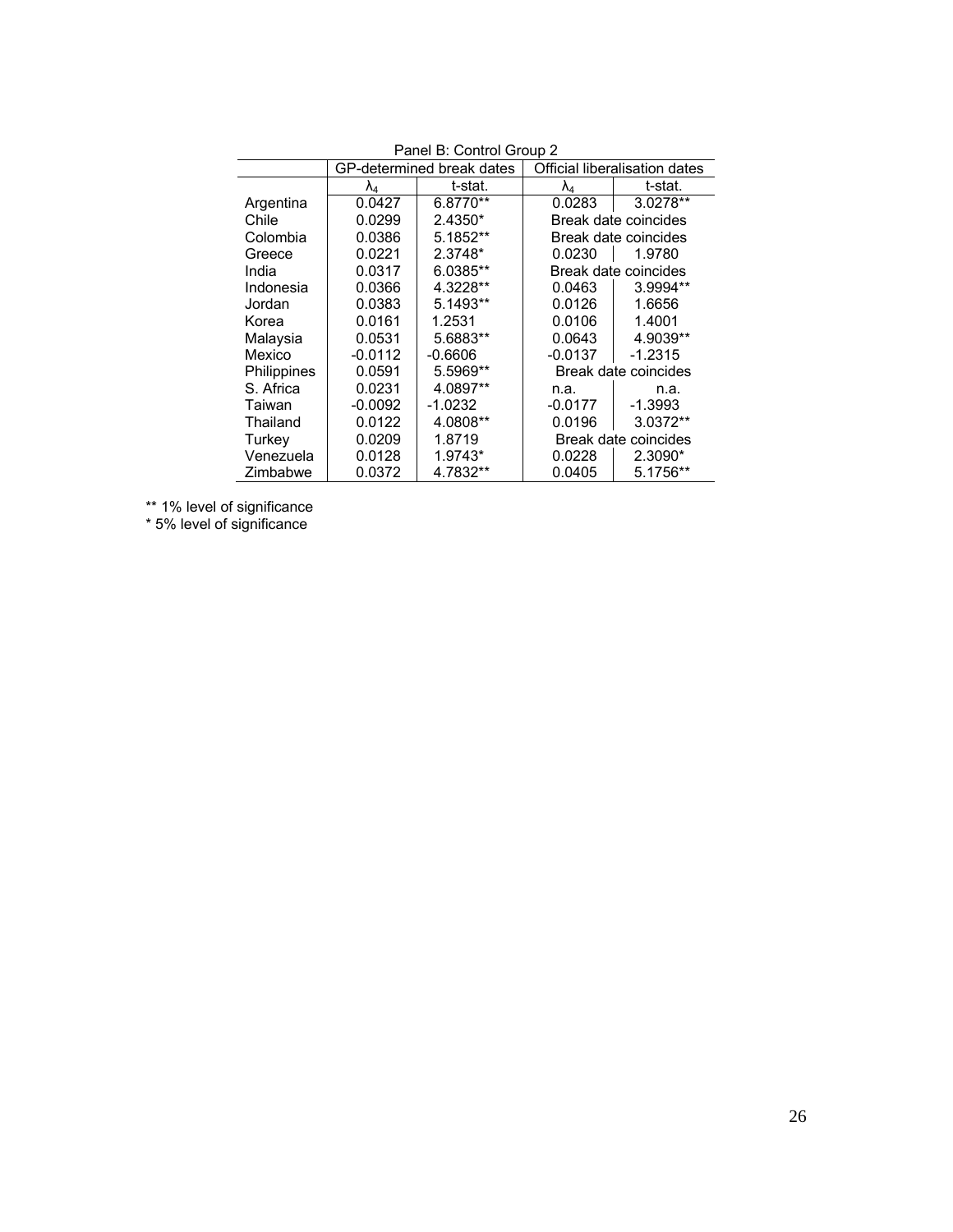| Panel B: Control Group 2 |             |                           |                               |                      |  |
|--------------------------|-------------|---------------------------|-------------------------------|----------------------|--|
|                          |             | GP-determined break dates | Official liberalisation dates |                      |  |
|                          | $\lambda_4$ | t-stat.                   | λ4                            | t-stat.              |  |
| Argentina                | 0.0427      | 6.8770**                  | 0.0283                        | 3.0278**             |  |
| Chile                    | 0.0299      | 2.4350*                   |                               | Break date coincides |  |
| Colombia                 | 0.0386      | 5.1852**                  |                               | Break date coincides |  |
| Greece                   | 0.0221      | 2.3748*                   | 0.0230                        | 1.9780               |  |
| India                    | 0.0317      | 6.0385**                  |                               | Break date coincides |  |
| Indonesia                | 0.0366      | 4.3228**                  | 0.0463                        | 3.9994**             |  |
| Jordan                   | 0.0383      | 5.1493**                  | 0.0126                        | 1.6656               |  |
| Korea                    | 0.0161      | 1.2531                    | 0.0106                        | 1.4001               |  |
| Malaysia                 | 0.0531      | 5.6883**                  | 0.0643                        | 4.9039**             |  |
| Mexico                   | $-0.0112$   | $-0.6606$                 | -0.0137                       | $-1.2315$            |  |
| Philippines              | 0.0591      | 5.5969**                  |                               | Break date coincides |  |
| S. Africa                | 0.0231      | 4.0897**                  | n.a.                          | n.a.                 |  |
| Taiwan                   | $-0.0092$   | $-1.0232$                 | $-0.0177$                     | $-1.3993$            |  |
| Thailand                 | 0.0122      | 4.0808**                  | 0.0196                        | $3.0372**$           |  |
| Turkey                   | 0.0209      | 1.8719                    |                               | Break date coincides |  |
| Venezuela                | 0.0128      | 1.9743*                   | 0.0228                        | 2.3090*              |  |
| Zimbabwe                 | 0.0372      | 4.7832**                  | 0.0405                        | 5.1756**             |  |

Panel B: Control Group 2

\*\* 1% level of significance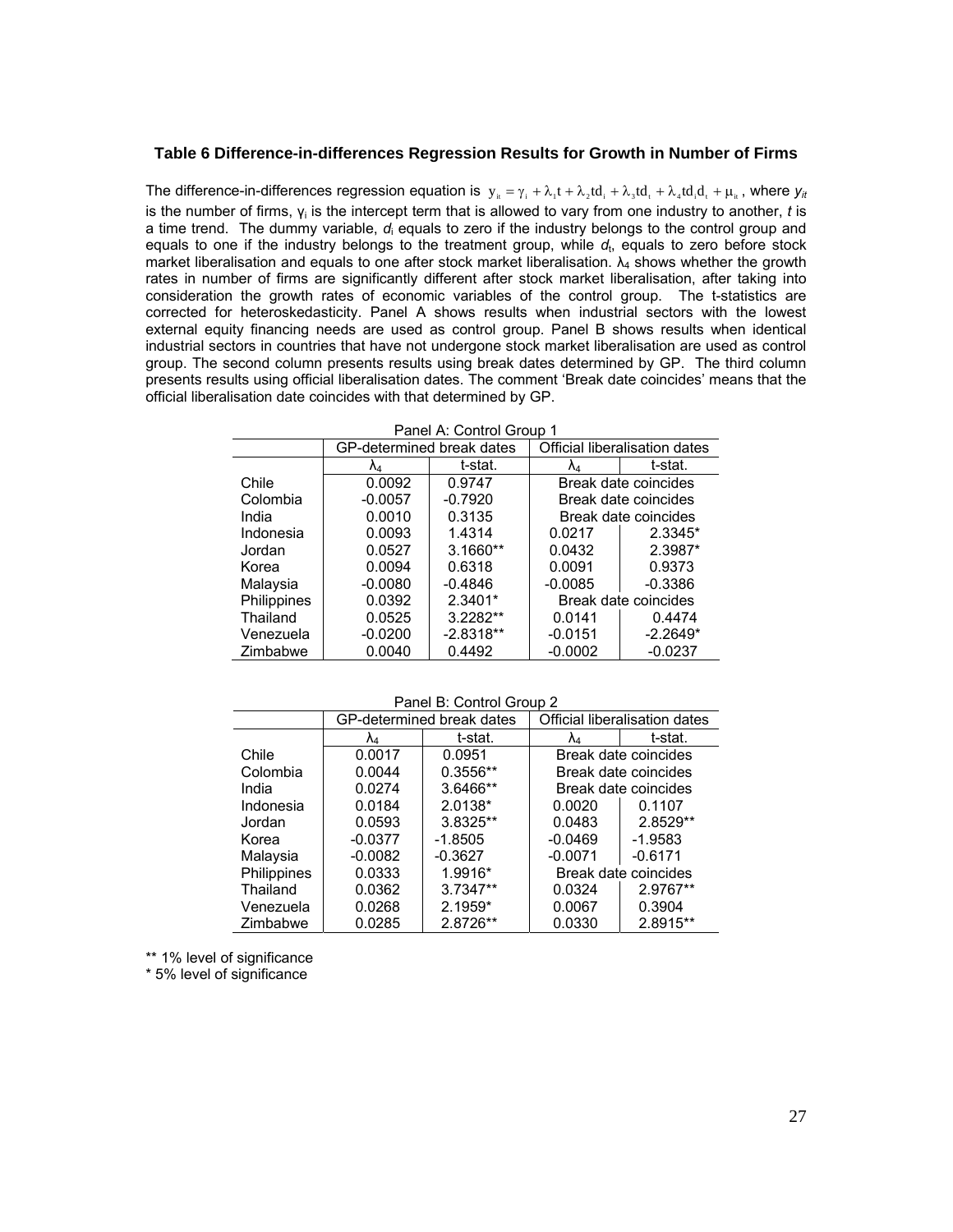#### **Table 6 Difference-in-differences Regression Results for Growth in Number of Firms**

The difference-in-differences regression equation is  $y_{ii} = \gamma_i + \lambda_i t + \lambda_i t d_i + \lambda_i t d_i + \lambda_i t d_i d_i + \mu_i$ , where  $y_{it}$ is the number of firms,  $y_i$  is the intercept term that is allowed to vary from one industry to another, *t* is a time trend. The dummy variable, *d*<sup>i</sup> equals to zero if the industry belongs to the control group and equals to one if the industry belongs to the treatment group, while  $d<sub>t</sub>$ , equals to zero before stock market liberalisation and equals to one after stock market liberalisation.  $\lambda_4$  shows whether the growth rates in number of firms are significantly different after stock market liberalisation, after taking into consideration the growth rates of economic variables of the control group. The t-statistics are corrected for heteroskedasticity. Panel A shows results when industrial sectors with the lowest external equity financing needs are used as control group. Panel B shows results when identical industrial sectors in countries that have not undergone stock market liberalisation are used as control group. The second column presents results using break dates determined by GP. The third column presents results using official liberalisation dates. The comment 'Break date coincides' means that the official liberalisation date coincides with that determined by GP.

| Panel A: Control Group 1 |  |  |
|--------------------------|--|--|
|--------------------------|--|--|

| <b>I GIIGI A. VUIILUI VIUUL I</b> |                           |             |                      |                               |  |  |
|-----------------------------------|---------------------------|-------------|----------------------|-------------------------------|--|--|
|                                   | GP-determined break dates |             |                      | Official liberalisation dates |  |  |
|                                   | Λ4                        | t-stat.     | λ4                   | t-stat.                       |  |  |
| Chile                             | 0.0092                    | 0.9747      |                      | Break date coincides          |  |  |
| Colombia                          | $-0.0057$                 | $-0.7920$   |                      | Break date coincides          |  |  |
| India                             | 0.0010                    | 0.3135      | Break date coincides |                               |  |  |
| Indonesia                         | 0.0093                    | 1.4314      | 0.0217               | 2.3345*                       |  |  |
| Jordan                            | 0.0527                    | 3.1660**    | 0.0432               | 2.3987*                       |  |  |
| Korea                             | 0.0094                    | 0.6318      | 0.0091               | 0.9373                        |  |  |
| Malaysia                          | $-0.0080$                 | $-0.4846$   | $-0.0085$            | $-0.3386$                     |  |  |
| Philippines                       | 0.0392                    | 2.3401*     | Break date coincides |                               |  |  |
| Thailand                          | 0.0525                    | 3.2282**    | 0.0141               | 0.4474                        |  |  |
| Venezuela                         | $-0.0200$                 | $-2.8318**$ | $-0.0151$            | $-2.2649*$                    |  |  |
| Zimbabwe                          | 0.0040                    | 0.4492      | $-0.0002$            | $-0.0237$                     |  |  |

#### Panel B: Control Group 2 GP-determined break dates | Official liberalisation dates  $\lambda_4$  t-stat.  $\lambda_4$  t-stat.<br>0.0017 0.0951 Break date coincides Chile 0.0017 0.0951 Break date coincides Colombia 0.0044 0.3556\*\* Break date coincides India 0.0274 3.6466\*\* Break date coincides Indonesia | 0.0184 | 2.0138\* | 0.0020 | 0.1107<br>Jordan | 0.0593 | 3.8325\*\* | 0.0483 | 2.8529\*\*  $3.8325**$  0.0483 Korea | -0.0377 | -1.8505 | -0.0469 | -1.9583<br>Malaysia | -0.0082 | -0.3627 | -0.0071 | -0.6171 Malaysia Philippines 0.0333 1.9916\* Break date coincides<br>Thailand 0.0362 3.7347\*\* 0.0324 2.9767\*\*  $\text{Thailand}$  0.0362 Venezuela | 0.0268 | 2.1959<sup>\*</sup> | 0.0067 | 0.3904

Zimbabwe | 0.0285 | 2.8726\*\* | 0.0330 | 2.8915\*\*

\*\* 1% level of significance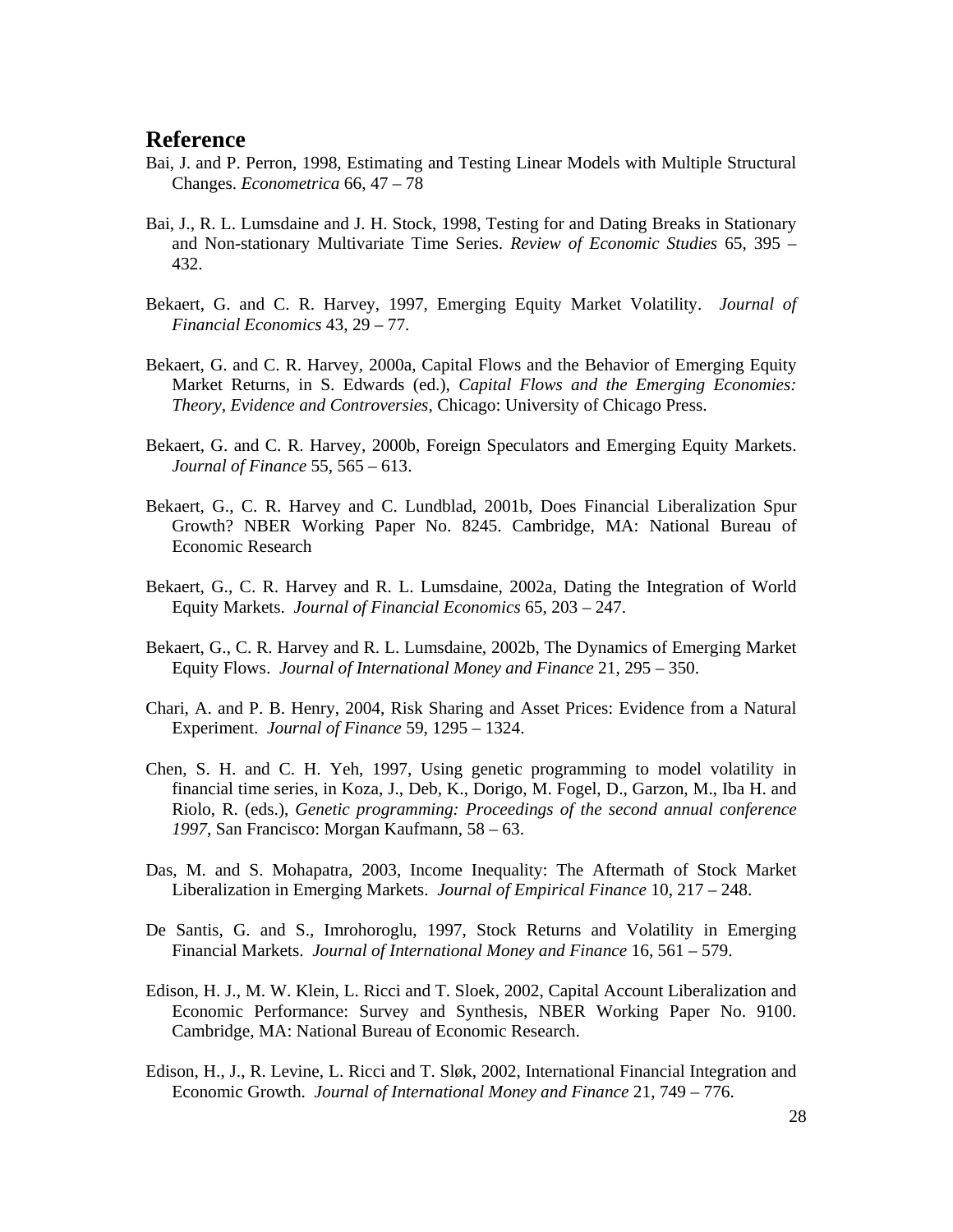#### **Reference**

- Bai, J. and P. Perron, 1998, Estimating and Testing Linear Models with Multiple Structural Changes. *Econometrica* 66, 47 – 78
- Bai, J., R. L. Lumsdaine and J. H. Stock, 1998, Testing for and Dating Breaks in Stationary and Non-stationary Multivariate Time Series. *Review of Economic Studies* 65, 395 – 432.
- Bekaert, G. and C. R. Harvey, 1997, Emerging Equity Market Volatility. *Journal of Financial Economics* 43, 29 – 77.
- Bekaert, G. and C. R. Harvey, 2000a, Capital Flows and the Behavior of Emerging Equity Market Returns, in S. Edwards (ed.), *Capital Flows and the Emerging Economies: Theory, Evidence and Controversies*, Chicago: University of Chicago Press.
- Bekaert, G. and C. R. Harvey, 2000b, Foreign Speculators and Emerging Equity Markets. *Journal of Finance* 55, 565 – 613.
- Bekaert, G., C. R. Harvey and C. Lundblad, 2001b, Does Financial Liberalization Spur Growth? NBER Working Paper No. 8245. Cambridge, MA: National Bureau of Economic Research
- Bekaert, G., C. R. Harvey and R. L. Lumsdaine, 2002a, Dating the Integration of World Equity Markets. *Journal of Financial Economics* 65, 203 – 247.
- Bekaert, G., C. R. Harvey and R. L. Lumsdaine, 2002b, The Dynamics of Emerging Market Equity Flows. *Journal of International Money and Finance* 21, 295 – 350.
- Chari, A. and P. B. Henry, 2004, Risk Sharing and Asset Prices: Evidence from a Natural Experiment. *Journal of Finance* 59, 1295 – 1324.
- Chen, S. H. and C. H. Yeh, 1997, Using genetic programming to model volatility in financial time series, in Koza, J., Deb, K., Dorigo, M. Fogel, D., Garzon, M., Iba H. and Riolo, R. (eds.), *Genetic programming: Proceedings of the second annual conference 1997*, San Francisco: Morgan Kaufmann, 58 – 63.
- Das, M. and S. Mohapatra, 2003, Income Inequality: The Aftermath of Stock Market Liberalization in Emerging Markets. *Journal of Empirical Finance* 10, 217 – 248.
- De Santis, G. and S., Imrohoroglu, 1997, Stock Returns and Volatility in Emerging Financial Markets. *Journal of International Money and Finance* 16, 561 – 579.
- Edison, H. J., M. W. Klein, L. Ricci and T. Sloek, 2002, Capital Account Liberalization and Economic Performance: Survey and Synthesis, NBER Working Paper No. 9100. Cambridge, MA: National Bureau of Economic Research.
- Edison, H., J., R. Levine, L. Ricci and T. Sløk, 2002, International Financial Integration and Economic Growth. *Journal of International Money and Finance* 21, 749 – 776.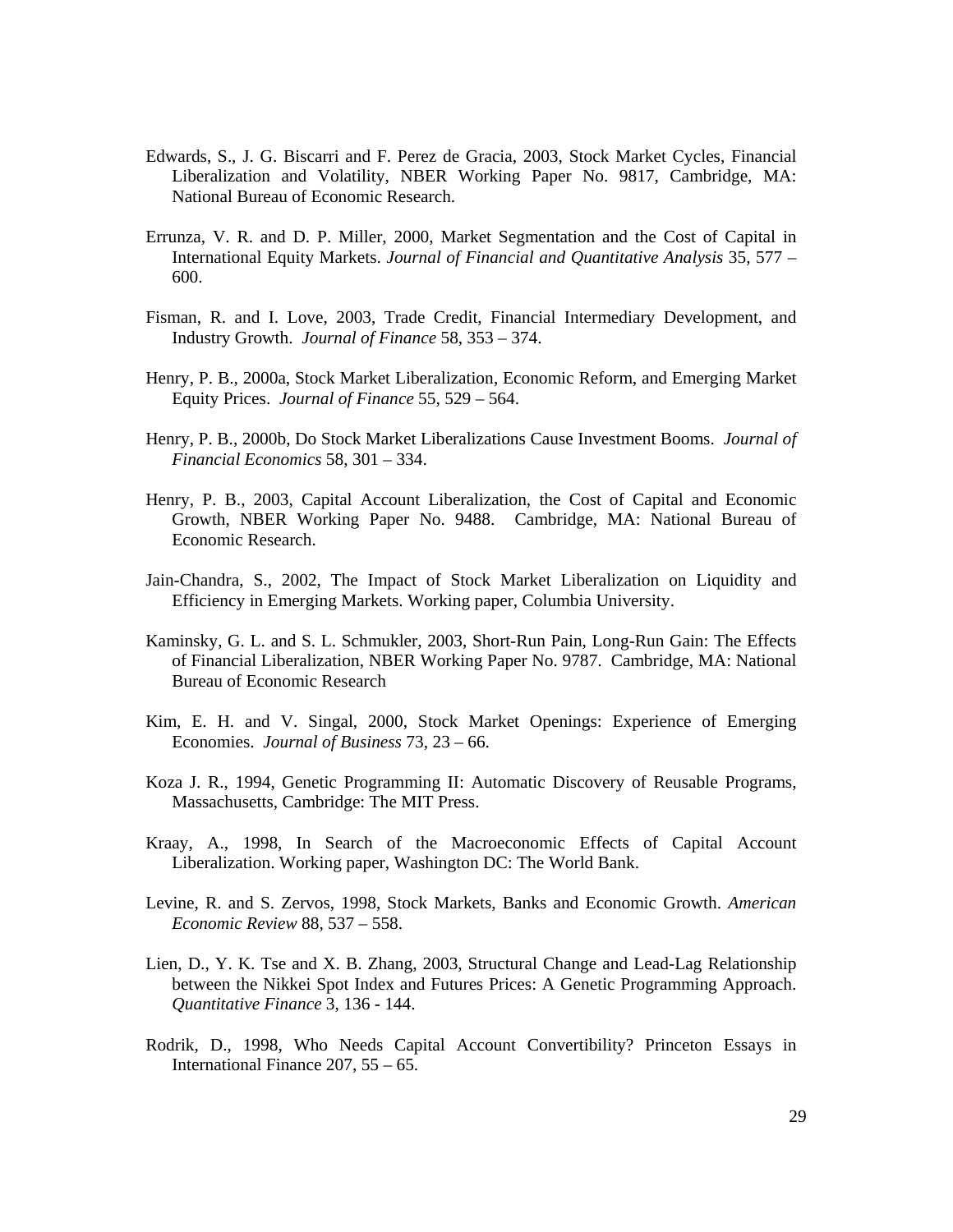- Edwards, S., J. G. Biscarri and F. Perez de Gracia, 2003, Stock Market Cycles, Financial Liberalization and Volatility, NBER Working Paper No. 9817, Cambridge, MA: National Bureau of Economic Research.
- Errunza, V. R. and D. P. Miller, 2000, Market Segmentation and the Cost of Capital in International Equity Markets. *Journal of Financial and Quantitative Analysis* 35, 577 – 600.
- Fisman, R. and I. Love, 2003, Trade Credit, Financial Intermediary Development, and Industry Growth. *Journal of Finance* 58, 353 – 374.
- Henry, P. B., 2000a, Stock Market Liberalization, Economic Reform, and Emerging Market Equity Prices. *Journal of Finance* 55, 529 – 564.
- Henry, P. B., 2000b, Do Stock Market Liberalizations Cause Investment Booms. *Journal of Financial Economics* 58, 301 – 334.
- Henry, P. B., 2003, Capital Account Liberalization, the Cost of Capital and Economic Growth, NBER Working Paper No. 9488. Cambridge, MA: National Bureau of Economic Research.
- Jain-Chandra, S., 2002, The Impact of Stock Market Liberalization on Liquidity and Efficiency in Emerging Markets. Working paper, Columbia University.
- Kaminsky, G. L. and S. L. Schmukler, 2003, Short-Run Pain, Long-Run Gain: The Effects of Financial Liberalization, NBER Working Paper No. 9787. Cambridge, MA: National Bureau of Economic Research
- Kim, E. H. and V. Singal, 2000, Stock Market Openings: Experience of Emerging Economies. *Journal of Business* 73, 23 – 66.
- Koza J. R., 1994, Genetic Programming II: Automatic Discovery of Reusable Programs, Massachusetts, Cambridge: The MIT Press.
- Kraay, A., 1998, In Search of the Macroeconomic Effects of Capital Account Liberalization. Working paper, Washington DC: The World Bank.
- Levine, R. and S. Zervos, 1998, Stock Markets, Banks and Economic Growth. *American Economic Review* 88, 537 – 558.
- Lien, D., Y. K. Tse and X. B. Zhang, 2003, Structural Change and Lead-Lag Relationship between the Nikkei Spot Index and Futures Prices: A Genetic Programming Approach. *Quantitative Finance* 3, 136 - 144.
- Rodrik, D., 1998, Who Needs Capital Account Convertibility? Princeton Essays in International Finance 207, 55 – 65.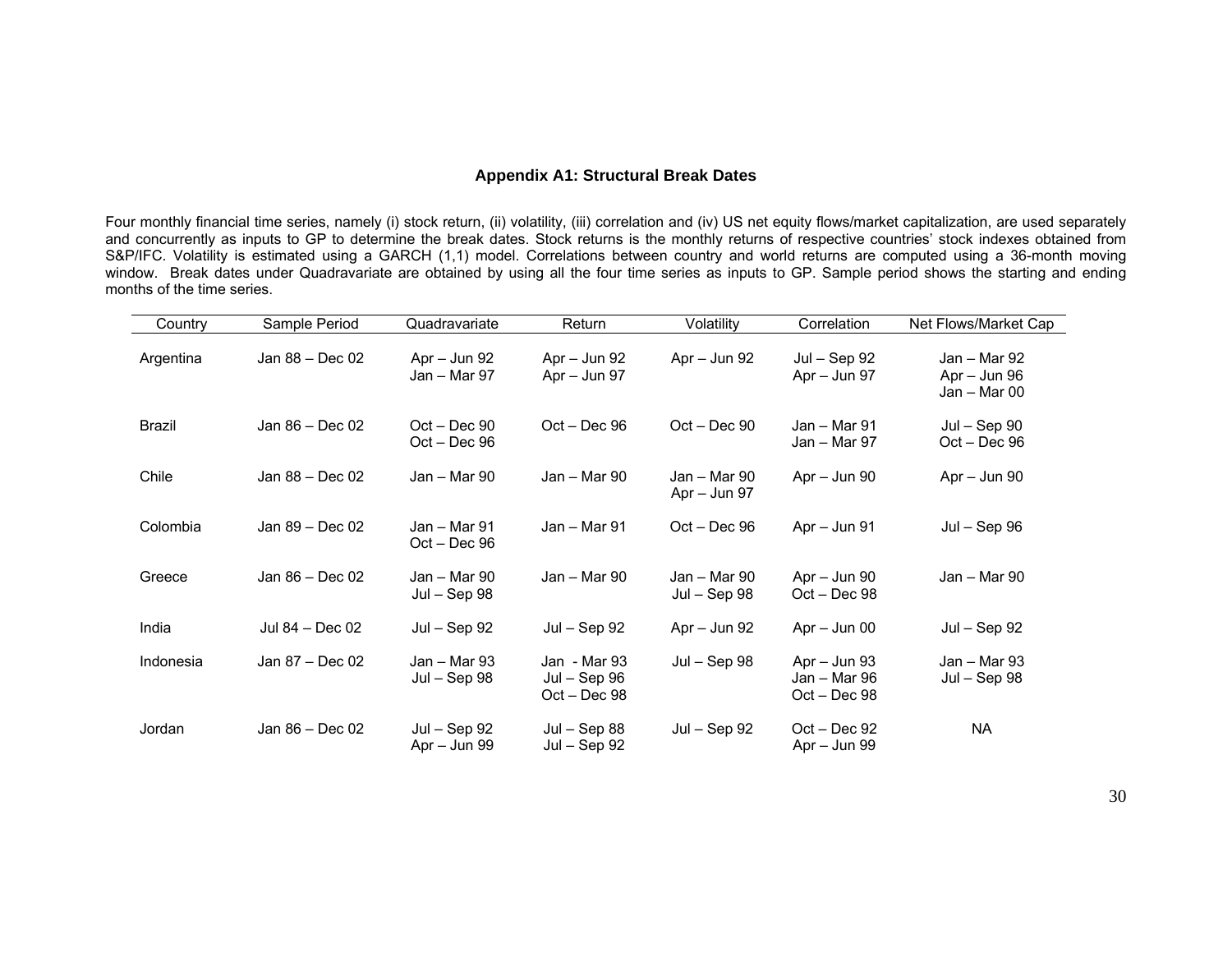#### **Appendix A1: Structural Break Dates**

Four monthly financial time series, namely (i) stock return, (ii) volatility, (iii) correlation and (iv) US net equity flows/market capitalization, are used separately and concurrently as inputs to GP to determine the break dates. Stock returns is the monthly returns of respective countries' stock indexes obtained from S&P/IFC. Volatility is estimated using a GARCH (1,1) model. Correlations between country and world returns are computed using a 36-month moving window. Break dates under Quadravariate are obtained by using all the four time series as inputs to GP. Sample period shows the starting and ending months of the time series.

| Country       | Sample Period     | Quadravariate                    | Return                                           | Volatility                       | Correlation                                      | Net Flows/Market Cap                           |
|---------------|-------------------|----------------------------------|--------------------------------------------------|----------------------------------|--------------------------------------------------|------------------------------------------------|
| Argentina     | Jan $88 - Dec 02$ | $Apr - Jun 92$<br>Jan $-$ Mar 97 | Apr - Jun 92<br>$Apr - Jun 97$                   | Apr - Jun 92                     | $Jul - Sep$ 92<br>Apr - Jun 97                   | Jan $-$ Mar 92<br>Apr - Jun 96<br>Jan – Mar 00 |
| <b>Brazil</b> | Jan 86 - Dec 02   | $Oct - Dec 90$<br>$Oct - Dec 96$ | $Oct - Dec 96$                                   | Oct - Dec 90                     | Jan $-$ Mar 91<br>Jan $-$ Mar 97                 | $Jul - Sep$ 90<br>$Oct - Dec 96$               |
| Chile         | Jan 88 - Dec 02   | $Jan - Mar 90$                   | $Jan - Mar 90$                                   | Jan $-$ Mar 90<br>$Apr - Jun 97$ | $Apr - Jun 90$                                   | $Apr - Jun 90$                                 |
| Colombia      | Jan $89 - Dec 02$ | Jan $-$ Mar 91<br>Oct - Dec 96   | Jan - Mar 91                                     | $Oct - Dec 96$                   | Apr - Jun 91                                     | $Jul - Sep$ 96                                 |
| Greece        | Jan $86 - Dec 02$ | Jan $-$ Mar 90<br>$Jul - Sep 98$ | Jan $-$ Mar 90                                   | Jan $-$ Mar 90<br>$Jul - Sep 98$ | Apr - Jun 90<br>Oct - Dec 98                     | Jan - Mar 90                                   |
| India         | Jul 84 - Dec 02   | $Jul - Sep$ 92                   | $Jul - Sep 92$                                   | $Apr - Jun 92$                   | $Apr - Jun 00$                                   | $Jul - Sep 92$                                 |
| Indonesia     | Jan $87 - Dec 02$ | Jan $-$ Mar 93<br>$Jul - Sep 98$ | Jan - Mar 93<br>$Jul - Sep$ 96<br>$Oct - Dec 98$ | $Jul - Sep 98$                   | $Apr - Jun 93$<br>Jan - Mar 96<br>$Oct - Dec 98$ | $Jan - Mar 93$<br>$Jul - Sep$ 98               |
| Jordan        | Jan $86 - Dec 02$ | $Jul - Sep 92$<br>$Apr - Jun 99$ | $Jul - Sep 88$<br>$Jul - Sep 92$                 | $Jul - Sep 92$                   | $Oct - Dec 92$<br>Apr - Jun 99                   | <b>NA</b>                                      |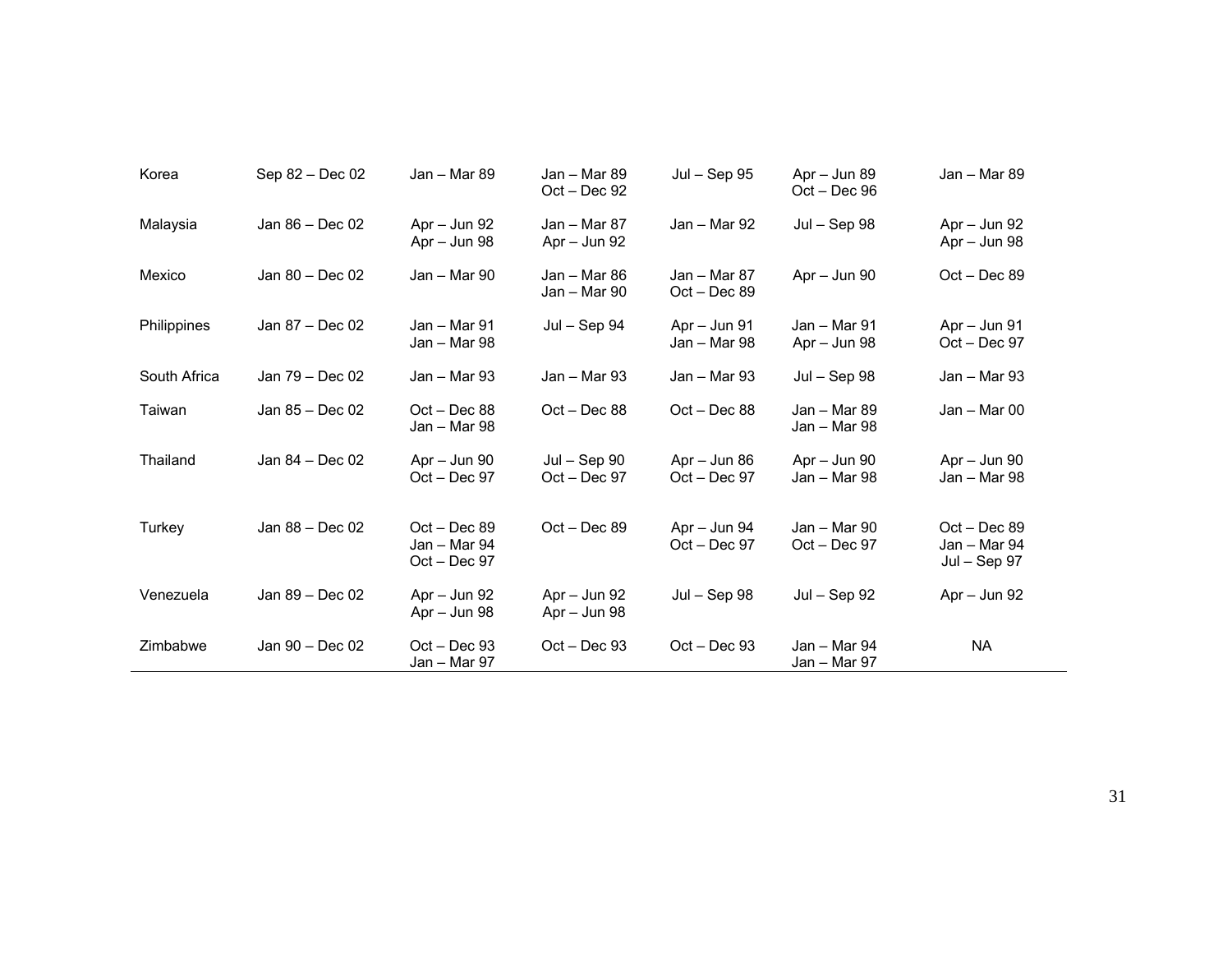| Korea        | Sep 82 - Dec 02   | Jan $-$ Mar 89                                     | Jan - Mar 89<br>Oct - Dec 92     | $Jul - Sep$ 95                   | Apr - Jun 89<br>$Oct - Dec 96$   | Jan - Mar 89                                   |
|--------------|-------------------|----------------------------------------------------|----------------------------------|----------------------------------|----------------------------------|------------------------------------------------|
| Malaysia     | Jan 86 - Dec 02   | Apr - Jun 92<br>Apr - Jun 98                       | Jan - Mar 87<br>$Apr - Jun 92$   | Jan – Mar 92                     | $Jul - Sep$ 98                   | Apr - Jun 92<br>$Apr - Jun 98$                 |
| Mexico       | Jan $80 - Dec 02$ | Jan $-$ Mar 90                                     | Jan – Mar 86<br>Jan $-$ Mar 90   | Jan – Mar 87<br>$Oct - Dec 89$   | Apr - Jun 90                     | Oct - Dec 89                                   |
| Philippines  | Jan 87 - Dec 02   | Jan $-$ Mar 91<br>Jan - Mar 98                     | $Jul - Sep 94$                   | Apr - Jun 91<br>Jan - Mar 98     | Jan - Mar 91<br>Apr - Jun 98     | Apr - Jun 91<br>$Oct - Dec 97$                 |
| South Africa | Jan 79 - Dec 02   | Jan $-$ Mar 93                                     | Jan $-$ Mar 93                   | $Jan - Mar 93$                   | $Jul - Sep 98$                   | Jan $-$ Mar 93                                 |
| Taiwan       | Jan 85 - Dec 02   | $Oct - Dec 88$<br>Jan $-$ Mar 98                   | $Oct - Dec 88$                   | $Oct - Dec 88$                   | Jan $-$ Mar 89<br>$Jan - Mar 98$ | Jan $-$ Mar 00                                 |
| Thailand     | Jan 84 - Dec 02   | $Apr - Jun 90$<br>$Oct - Dec 97$                   | $Jul - Sep$ 90<br>$Oct - Dec 97$ | $Apr - Jun 86$<br>$Oct - Dec 97$ | Apr - Jun 90<br>Jan - Mar 98     | Apr - Jun 90<br>Jan $-$ Mar 98                 |
| Turkey       | Jan 88 - Dec 02   | $Oct - Dec 89$<br>Jan $-$ Mar 94<br>$Oct - Dec 97$ | $Oct - Dec 89$                   | $Apr - Jun 94$<br>$Oct - Dec 97$ | Jan - Mar 90<br>$Oct - Dec 97$   | Oct - Dec 89<br>Jan - Mar 94<br>$Jul - Sep 97$ |
| Venezuela    | Jan $89 - Dec 02$ | Apr - Jun 92<br>$Apr - Jun 98$                     | $Apr - Jun 92$<br>Apr - Jun 98   | $Jul - Sep 98$                   | $Jul - Sep$ 92                   | $Apr - Jun 92$                                 |
| Zimbabwe     | Jan 90 - Dec 02   | $Oct - Dec 93$<br>Jan - Mar 97                     | $Oct - Dec 93$                   | $Oct - Dec 93$                   | Jan – Mar 94<br>Jan - Mar 97     | <b>NA</b>                                      |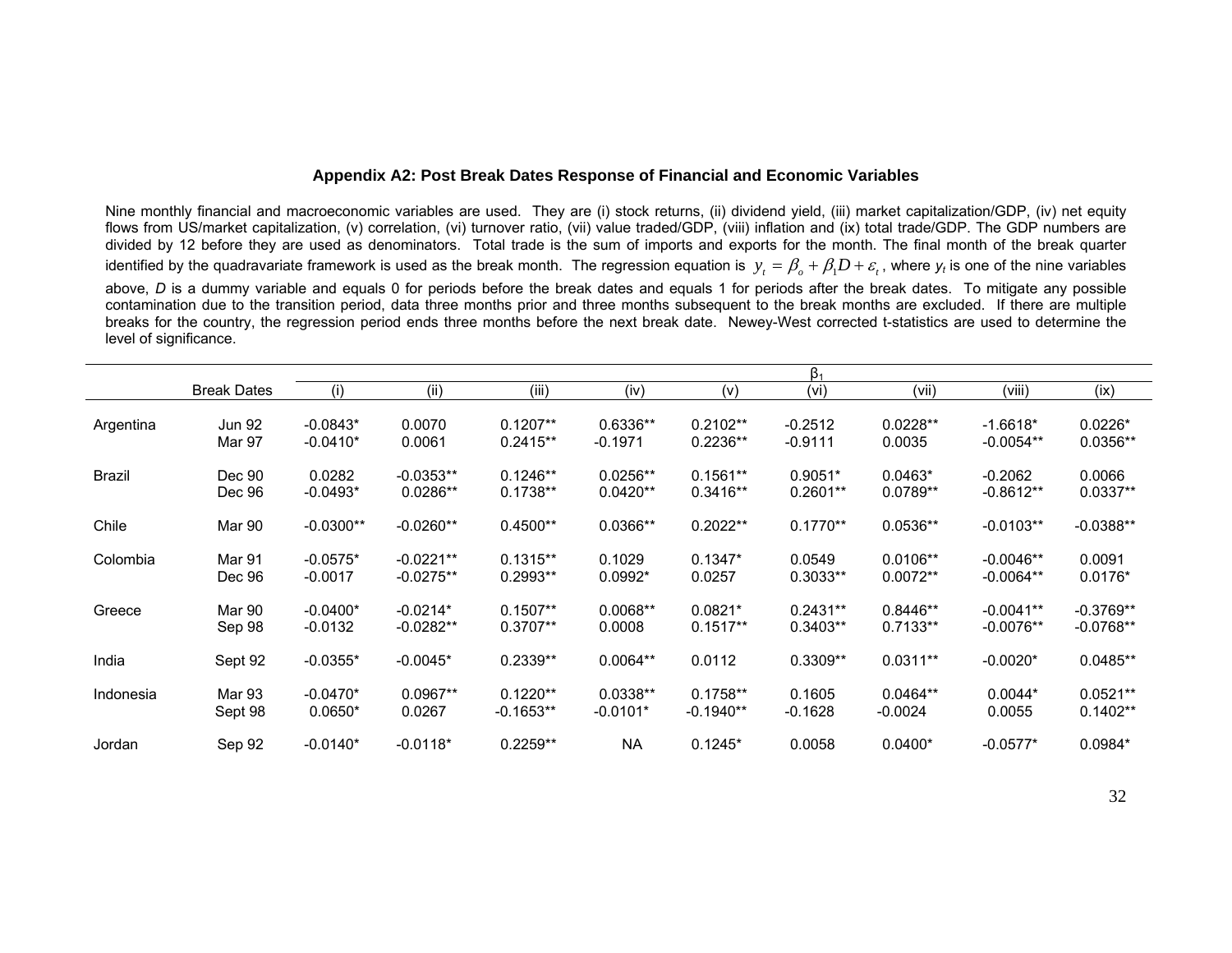#### **Appendix A2: Post Break Dates Response of Financial and Economic Variables**

Nine monthly financial and macroeconomic variables are used. They are (i) stock returns, (ii) dividend yield, (iii) market capitalization/GDP, (iv) net equity flows from US/market capitalization, (v) correlation, (vi) turnover ratio, (vii) value traded/GDP, (viii) inflation and (ix) total trade/GDP. The GDP numbers are divided by 12 before they are used as denominators. Total trade is the sum of imports and exports for the month. The final month of the break quarter identified by the quadravariate framework is used as the break month. The regression equation is  $y_t = \beta_o + \beta_1 D + \varepsilon_t$ , where  $y_t$  is one of the nine variables above, *D* is a dummy variable and equals 0 for periods before the break dates and equals 1 for periods after the break dates. To mitigate any possible contamination due to the transition period, data three months prior and three months subsequent to the break months are excluded. If there are multiple breaks for the country, the regression period ends three months before the next break date. Newey-West corrected t-statistics are used to determine the level of significance.

|               |                    | $\beta_1$   |             |             |            |             |            |            |             |             |
|---------------|--------------------|-------------|-------------|-------------|------------|-------------|------------|------------|-------------|-------------|
|               | <b>Break Dates</b> | (i)         | (ii)        | (iii)       | (iv)       | (v)         | (vi)       | (vii)      | (viii)      | (ix)        |
| Argentina     | <b>Jun 92</b>      | $-0.0843*$  | 0.0070      | $0.1207**$  | 0.6336**   | $0.2102**$  | $-0.2512$  | $0.0228**$ | $-1.6618*$  | $0.0226*$   |
|               | Mar 97             | $-0.0410*$  | 0.0061      | $0.2415**$  | $-0.1971$  | $0.2236**$  | $-0.9111$  | 0.0035     | $-0.0054**$ | $0.0356**$  |
| <b>Brazil</b> | Dec 90             | 0.0282      | $-0.0353**$ | $0.1246**$  | $0.0256**$ | $0.1561**$  | $0.9051*$  | $0.0463*$  | $-0.2062$   | 0.0066      |
|               | Dec 96             | $-0.0493*$  | $0.0286**$  | $0.1738**$  | $0.0420**$ | $0.3416**$  | $0.2601**$ | $0.0789**$ | $-0.8612**$ | $0.0337**$  |
| Chile         | Mar 90             | $-0.0300**$ | $-0.0260**$ | $0.4500**$  | 0.0366**   | $0.2022**$  | $0.1770**$ | $0.0536**$ | $-0.0103**$ | $-0.0388**$ |
| Colombia      | Mar 91             | $-0.0575*$  | $-0.0221**$ | $0.1315**$  | 0.1029     | $0.1347*$   | 0.0549     | $0.0106**$ | $-0.0046**$ | 0.0091      |
|               | Dec 96             | $-0.0017$   | $-0.0275**$ | $0.2993**$  | $0.0992*$  | 0.0257      | $0.3033**$ | $0.0072**$ | $-0.0064**$ | $0.0176*$   |
| Greece        | Mar 90             | $-0.0400*$  | $-0.0214*$  | $0.1507**$  | $0.0068**$ | $0.0821*$   | $0.2431**$ | $0.8446**$ | $-0.0041**$ | $-0.3769**$ |
|               | Sep 98             | $-0.0132$   | $-0.0282**$ | 0.3707**    | 0.0008     | $0.1517**$  | $0.3403**$ | $0.7133**$ | $-0.0076**$ | $-0.0768**$ |
| India         | Sept 92            | $-0.0355*$  | $-0.0045*$  | $0.2339**$  | $0.0064**$ | 0.0112      | $0.3309**$ | $0.0311**$ | $-0.0020*$  | $0.0485**$  |
| Indonesia     | Mar 93             | $-0.0470*$  | $0.0967**$  | $0.1220**$  | 0.0338**   | $0.1758**$  | 0.1605     | $0.0464**$ | $0.0044*$   | $0.0521**$  |
|               | Sept 98            | $0.0650*$   | 0.0267      | $-0.1653**$ | $-0.0101*$ | $-0.1940**$ | $-0.1628$  | $-0.0024$  | 0.0055      | $0.1402**$  |
| Jordan        | Sep 92             | $-0.0140*$  | $-0.0118*$  | $0.2259**$  | <b>NA</b>  | $0.1245*$   | 0.0058     | $0.0400*$  | $-0.0577*$  | $0.0984*$   |